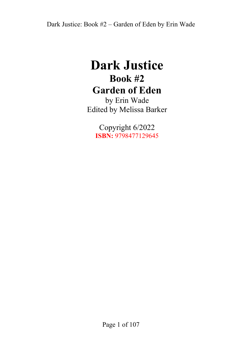## **Dark Justice Book #2 Garden of Eden**

by Erin Wade Edited by Melissa Barker

> Copyright 6/2022 **ISBN:** 9798477129645

> > Page 1 of 107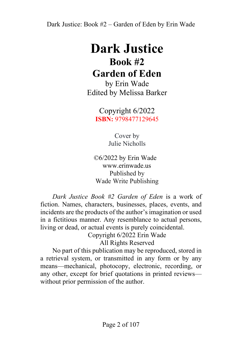# **Dark Justice Book #2 Garden of Eden**

by Erin Wade Edited by Melissa Barker

> Copyright 6/2022 **ISBN:** 9798477129645

> > Cover by Julie Nicholls

 ©6/2022 by Erin Wade www.erinwade.us Published by Wade Write Publishing

*Dark Justice Book #2 Garden of Eden* is a work of fiction. Names, characters, businesses, places, events, and incidents are the products of the author's imagination or used in a fictitious manner. Any resemblance to actual persons, living or dead, or actual events is purely coincidental.

Copyright 6/2022 Erin Wade All Rights Reserved

No part of this publication may be reproduced, stored in a retrieval system, or transmitted in any form or by any means—mechanical, photocopy, electronic, recording, or any other, except for brief quotations in printed reviews without prior permission of the author.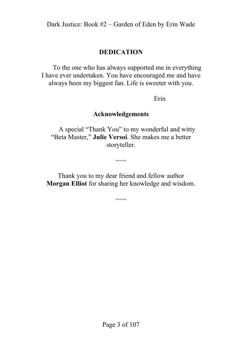#### **DEDICATION**

To the one who has always supported me in everything I have ever undertaken. You have encouraged me and have always been my biggest fan. Life is sweeter with you.

Erin

#### **Acknowledgements**

A special "Thank You" to my wonderful and witty "Beta Master," **Julie Versoi**. She makes me a better storyteller.

Thank you to my dear friend and fellow author **Morgan Elliot** for sharing her knowledge and wisdom.

 $~\sim~\sim~\sim~$ 

 $~\sim~\sim~\sim~$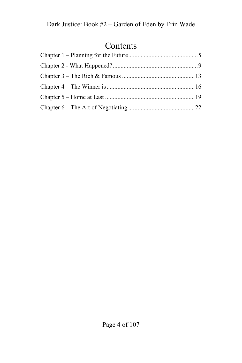#### Contents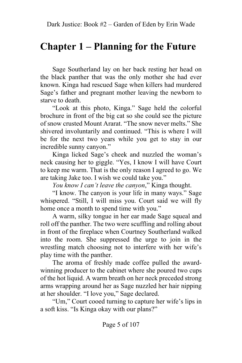#### <span id="page-4-0"></span>**Chapter 1 – Planning for the Future**

Sage Southerland lay on her back resting her head on the black panther that was the only mother she had ever known. Kinga had rescued Sage when killers had murdered Sage's father and pregnant mother leaving the newborn to starve to death.

"Look at this photo, Kinga." Sage held the colorful brochure in front of the big cat so she could see the picture of snow crusted Mount Ararat. "The snow never melts." She shivered involuntarily and continued. "This is where I will be for the next two years while you get to stay in our incredible sunny canyon."

Kinga licked Sage's cheek and nuzzled the woman's neck causing her to giggle. "Yes, I know I will have Court to keep me warm. That is the only reason I agreed to go. We are taking Jake too. I wish we could take you."

*You know I can't leave the canyon*," Kinga thought.

"I know. The canyon is your life in many ways." Sage whispered. "Still, I will miss you. Court said we will fly home once a month to spend time with you."

A warm, silky tongue in her ear made Sage squeal and roll off the panther. The two were scuffling and rolling about in front of the fireplace when Courtney Southerland walked into the room. She suppressed the urge to join in the wrestling match choosing not to interfere with her wife's play time with the panther.

The aroma of freshly made coffee pulled the awardwinning producer to the cabinet where she poured two cups of the hot liquid. A warm breath on her neck preceded strong arms wrapping around her as Sage nuzzled her hair nipping at her shoulder. "I love you," Sage declared.

"Um," Court cooed turning to capture her wife's lips in a soft kiss. "Is Kinga okay with our plans?"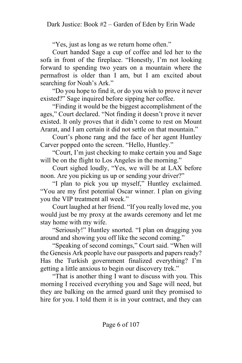"Yes, just as long as we return home often."

Court handed Sage a cup of coffee and led her to the sofa in front of the fireplace. "Honestly, I'm not looking forward to spending two years on a mountain where the permafrost is older than I am, but I am excited about searching for Noah's Ark."

"Do you hope to find it, or do you wish to prove it never existed?" Sage inquired before sipping her coffee.

"Finding it would be the biggest accomplishment of the ages," Court declared. "Not finding it doesn't prove it never existed. It only proves that it didn't come to rest on Mount Ararat, and I am certain it did not settle on that mountain."

Court's phone rang and the face of her agent Huntley Carver popped onto the screen. "Hello, Huntley."

"Court, I'm just checking to make certain you and Sage will be on the flight to Los Angeles in the morning."

Court sighed loudly, "Yes, we will be at LAX before noon. Are you picking us up or sending your driver?"

"I plan to pick you up myself," Huntley exclaimed. "You are my first potential Oscar winner. I plan on giving you the VIP treatment all week."

Court laughed at her friend. "If you really loved me, you would just be my proxy at the awards ceremony and let me stay home with my wife.

"Seriously!" Huntley snorted. "I plan on dragging you around and showing you off like the second coming."

"Speaking of second comings," Court said. "When will the Genesis Ark people have our passports and papers ready? Has the Turkish government finalized everything? I'm getting a little anxious to begin our discovery trek."

"That is another thing I want to discuss with you. This morning I received everything you and Sage will need, but they are balking on the armed guard unit they promised to hire for you. I told them it is in your contract, and they can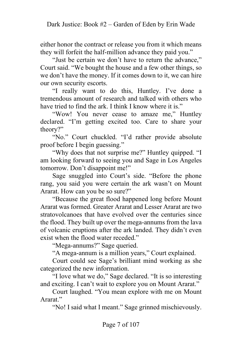either honor the contract or release you from it which means they will forfeit the half-million advance they paid you."

"Just be certain we don't have to return the advance," Court said. "We bought the house and a few other things, so we don't have the money. If it comes down to it, we can hire our own security escorts.

"I really want to do this, Huntley. I've done a tremendous amount of research and talked with others who have tried to find the ark. I think I know where it is."

"Wow! You never cease to amaze me," Huntley declared. "I'm getting excited too. Care to share your theory?"

"No." Court chuckled. "I'd rather provide absolute proof before I begin guessing."

"Why does that not surprise me?" Huntley quipped. "I am looking forward to seeing you and Sage in Los Angeles tomorrow. Don't disappoint me!"

Sage snuggled into Court's side. "Before the phone rang, you said you were certain the ark wasn't on Mount Ararat. How can you be so sure?"

"Because the great flood happened long before Mount Ararat was formed. Greater Ararat and Lesser Ararat are two stratovolcanoes that have evolved over the centuries since the flood. They built up over the mega-annums from the lava of volcanic eruptions after the ark landed. They didn't even exist when the flood water receded."

"Mega-annums?" Sage queried.

"A mega-annum is a million years," Court explained.

Court could see Sage's brilliant mind working as she categorized the new information.

"I love what we do," Sage declared. "It is so interesting and exciting. I can't wait to explore you on Mount Ararat."

Court laughed. "You mean explore with me on Mount Ararat."

"No! I said what I meant." Sage grinned mischievously.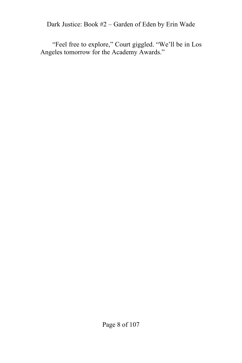Dark Justice: Book #2 – Garden of Eden by Erin Wade

"Feel free to explore," Court giggled. "We'll be in Los Angeles tomorrow for the Academy Awards."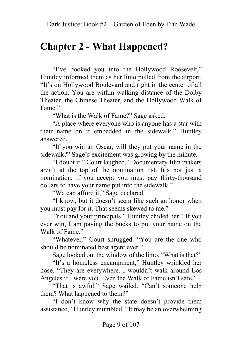#### <span id="page-8-0"></span>**Chapter 2 - What Happened?**

"I've booked you into the Hollywood Roosevelt," Huntley informed them as her limo pulled from the airport. "It's on Hollywood Boulevard and right in the center of all the action. You are within walking distance of the Dolby Theater, the Chinese Theater, and the Hollywood Walk of Fame<sup>"</sup>

"What is the Walk of Fame?" Sage asked.

"A place where everyone who is anyone has a star with their name on it embedded in the sidewalk." Huntley answered.

"If you win an Oscar, will they put your name in the sidewalk?" Sage's excitement was growing by the minute.

"I doubt it." Court laughed. "Documentary film makers aren't at the top of the nomination list. It's not just a nomination, if you accept you must pay thirty-thousand dollars to have your name put into the sidewalk."

"We can afford it," Sage declared.

"I know, but it doesn't seem like such an honor when you must pay for it. That seems skewed to me."

"You and your principals," Huntley chided her. "If you ever win, I am paying the bucks to put your name on the Walk of Fame."

"Whatever." Court shrugged. "You are the one who should be nominated best agent ever."

Sage looked out the window of the limo. "What is that?"

"It's a homeless encampment," Huntley wrinkled her nose. "They are everywhere. I wouldn't walk around Los Angeles if I were you. Even the Walk of Fame isn't safe."

"That is awful," Sage wailed. "Can't someone help them? What happened to them?"

"I don't know why the state doesn't provide them assistance," Huntley mumbled. "It may be an overwhelming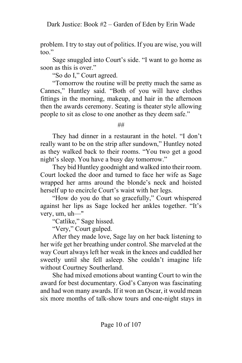problem. I try to stay out of politics. If you are wise, you will too."

Sage snuggled into Court's side. "I want to go home as soon as this is over."

"So do I," Court agreed.

"Tomorrow the routine will be pretty much the same as Cannes," Huntley said. "Both of you will have clothes fittings in the morning, makeup, and hair in the afternoon then the awards ceremony. Seating is theater style allowing people to sit as close to one another as they deem safe."

##

They had dinner in a restaurant in the hotel. "I don't really want to be on the strip after sundown," Huntley noted as they walked back to their rooms. "You two get a good night's sleep. You have a busy day tomorrow."

They bid Huntley goodnight and walked into their room. Court locked the door and turned to face her wife as Sage wrapped her arms around the blonde's neck and hoisted herself up to encircle Court's waist with her legs.

"How do you do that so gracefully," Court whispered against her lips as Sage locked her ankles together. "It's very, um, uh—"

"Catlike," Sage hissed.

"Very," Court gulped.

After they made love, Sage lay on her back listening to her wife get her breathing under control. She marveled at the way Court always left her weak in the knees and cuddled her sweetly until she fell asleep. She couldn't imagine life without Courtney Southerland.

She had mixed emotions about wanting Court to win the award for best documentary. God's Canyon was fascinating and had won many awards. If it won an Oscar, it would mean six more months of talk-show tours and one-night stays in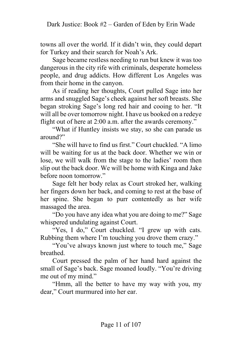towns all over the world. If it didn't win, they could depart for Turkey and their search for Noah's Ark.

Sage became restless needing to run but knew it was too dangerous in the city rife with criminals, desperate homeless people, and drug addicts. How different Los Angeles was from their home in the canyon.

As if reading her thoughts, Court pulled Sage into her arms and snuggled Sage's cheek against her soft breasts. She began stroking Sage's long red hair and cooing to her. "It will all be over tomorrow night. I have us booked on a redeye flight out of here at 2:00 a.m. after the awards ceremony."

"What if Huntley insists we stay, so she can parade us around?"

"She will have to find us first." Court chuckled. "A limo will be waiting for us at the back door. Whether we win or lose, we will walk from the stage to the ladies' room then slip out the back door. We will be home with Kinga and Jake before noon tomorrow."

Sage felt her body relax as Court stroked her, walking her fingers down her back, and coming to rest at the base of her spine. She began to purr contentedly as her wife massaged the area.

"Do you have any idea what you are doing to me?" Sage whispered undulating against Court.

"Yes, I do," Court chuckled. "I grew up with cats. Rubbing them where I'm touching you drove them crazy."

"You've always known just where to touch me," Sage breathed.

Court pressed the palm of her hand hard against the small of Sage's back. Sage moaned loudly. "You're driving me out of my mind."

"Hmm, all the better to have my way with you, my dear," Court murmured into her ear.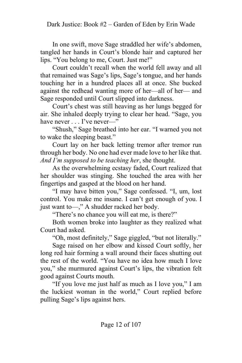In one swift, move Sage straddled her wife's abdomen, tangled her hands in Court's blonde hair and captured her lips. "You belong to me, Court. Just me!"

Court couldn't recall when the world fell away and all that remained was Sage's lips, Sage's tongue, and her hands touching her in a hundred places all at once. She bucked against the redhead wanting more of her—all of her— and Sage responded until Court slipped into darkness.

Court's chest was still heaving as her lungs begged for air. She inhaled deeply trying to clear her head. "Sage, you have never . . . I've never—"

"Shush," Sage breathed into her ear. "I warned you not to wake the sleeping beast."

Court lay on her back letting tremor after tremor run through her body. No one had ever made love to her like that. *And I'm supposed to be teaching her*, she thought.

As the overwhelming ecstasy faded, Court realized that her shoulder was stinging. She touched the area with her fingertips and gasped at the blood on her hand.

"I may have bitten you," Sage confessed. "I, um, lost control. You make me insane. I can't get enough of you. I just want to—," A shudder racked her body.

"There's no chance you will eat me, is there?"

Both women broke into laughter as they realized what Court had asked.

"Oh, most definitely," Sage giggled, "but not literally."

Sage raised on her elbow and kissed Court softly, her long red hair forming a wall around their faces shutting out the rest of the world. "You have no idea how much I love you," she murmured against Court's lips, the vibration felt good against Courts mouth.

"If you love me just half as much as I love you," I am the luckiest woman in the world," Court replied before pulling Sage's lips against hers.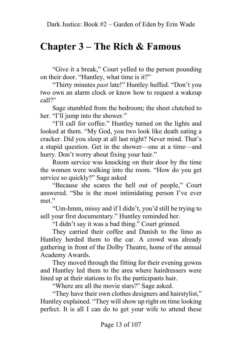## <span id="page-12-0"></span>**Chapter 3 – The Rich & Famous**

"Give it a break," Court yelled to the person pounding on their door. "Huntley, what time is it?"

"Thirty minutes *past* late!" Huntley huffed. "Don't you two own an alarm clock or know how to request a wakeup call?"

Sage stumbled from the bedroom; the sheet clutched to her. "I'll jump into the shower."

"I'll call for coffee." Huntley turned on the lights and looked at them. "My God, you two look like death eating a cracker. Did you sleep at all last night? Never mind. That's a stupid question. Get in the shower—one at a time—and hurry. Don't worry about fixing your hair."

Room service was knocking on their door by the time the women were walking into the room. "How do you get service so quickly?" Sage asked

"Because she scares the hell out of people," Court answered. "She is the most intimidating person I've ever met."

"Um-hmm, missy and if I didn't, you'd still be trying to sell your first documentary." Huntley reminded her.

"I didn't say it was a bad thing." Court grinned.

They carried their coffee and Danish to the limo as Huntley herded them to the car. A crowd was already gathering in front of the Dolby Theatre, home of the annual Academy Awards.

They moved through the fitting for their evening gowns and Huntley led them to the area where hairdressers were lined up at their stations to fix the participants hair.

"Where are all the movie stars?" Sage asked.

"They have their own clothes designers and hairstylist," Huntley explained. "They will show up right on time looking perfect. It is all I can do to get your wife to attend these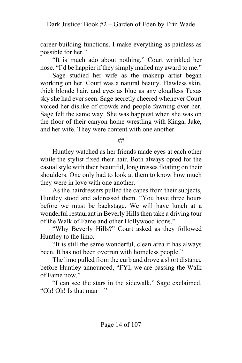career-building functions. I make everything as painless as possible for her."

"It is much ado about nothing." Court wrinkled her nose. "I'd be happier if they simply mailed my award to me."

Sage studied her wife as the makeup artist began working on her. Court was a natural beauty. Flawless skin, thick blonde hair, and eyes as blue as any cloudless Texas sky she had ever seen. Sage secretly cheered whenever Court voiced her dislike of crowds and people fawning over her. Sage felt the same way. She was happiest when she was on the floor of their canyon home wrestling with Kinga, Jake, and her wife. They were content with one another.

##

Huntley watched as her friends made eyes at each other while the stylist fixed their hair. Both always opted for the casual style with their beautiful, long tresses floating on their shoulders. One only had to look at them to know how much they were in love with one another.

As the hairdressers pulled the capes from their subjects, Huntley stood and addressed them. "You have three hours before we must be backstage. We will have lunch at a wonderful restaurant in Beverly Hills then take a driving tour of the Walk of Fame and other Hollywood icons."

"Why Beverly Hills?" Court asked as they followed Huntley to the limo.

"It is still the same wonderful, clean area it has always been. It has not been overrun with homeless people."

The limo pulled from the curb and drove a short distance before Huntley announced, "FYI, we are passing the Walk of Fame now."

"I can see the stars in the sidewalk," Sage exclaimed. "Oh! Oh! Is that man—"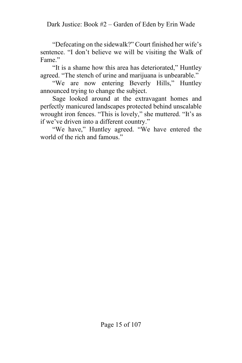"Defecating on the sidewalk?" Court finished her wife's sentence. "I don't believe we will be visiting the Walk of Fame."

"It is a shame how this area has deteriorated," Huntley agreed. "The stench of urine and marijuana is unbearable."

"We are now entering Beverly Hills," Huntley announced trying to change the subject.

Sage looked around at the extravagant homes and perfectly manicured landscapes protected behind unscalable wrought iron fences. "This is lovely," she muttered. "It's as if we've driven into a different country."

"We have," Huntley agreed. "We have entered the world of the rich and famous."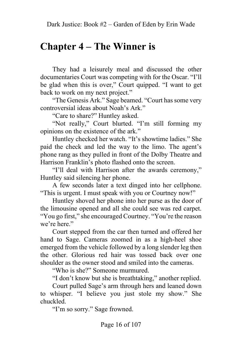#### <span id="page-15-0"></span>**Chapter 4 – The Winner is**

They had a leisurely meal and discussed the other documentaries Court was competing with for the Oscar. "I'll be glad when this is over," Court quipped. "I want to get back to work on my next project."

"The Genesis Ark." Sage beamed. "Court has some very controversial ideas about Noah's Ark."

"Care to share?" Huntley asked.

"Not really," Court blurted. "I'm still forming my opinions on the existence of the ark."

Huntley checked her watch. "It's showtime ladies." She paid the check and led the way to the limo. The agent's phone rang as they pulled in front of the Dolby Theatre and Harrison Franklin's photo flashed onto the screen.

"I'll deal with Harrison after the awards ceremony," Huntley said silencing her phone.

A few seconds later a text dinged into her cellphone. "This is urgent. I must speak with you or Courtney now!"

Huntley shoved her phone into her purse as the door of the limousine opened and all she could see was red carpet. "You go first," she encouraged Courtney. "You're the reason we're here."

Court stepped from the car then turned and offered her hand to Sage. Cameras zoomed in as a high-heel shoe emerged from the vehicle followed by a long slender leg then the other. Glorious red hair was tossed back over one shoulder as the owner stood and smiled into the cameras.

"Who is she?" Someone murmured.

"I don't know but she is breathtaking," another replied.

Court pulled Sage's arm through hers and leaned down to whisper. "I believe you just stole my show." She chuckled.

"I'm so sorry." Sage frowned.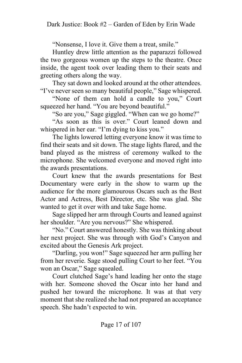"Nonsense, I love it. Give them a treat, smile."

Huntley drew little attention as the paparazzi followed the two gorgeous women up the steps to the theatre. Once inside, the agent took over leading them to their seats and greeting others along the way.

They sat down and looked around at the other attendees. "I've never seen so many beautiful people," Sage whispered.

"None of them can hold a candle to you," Court squeezed her hand. "You are beyond beautiful."

"So are you," Sage giggled. "When can we go home?"

"As soon as this is over." Court leaned down and whispered in her ear. "I'm dying to kiss you."

The lights lowered letting everyone know it was time to find their seats and sit down. The stage lights flared, and the band played as the mistress of ceremony walked to the microphone. She welcomed everyone and moved right into the awards presentations.

Court knew that the awards presentations for Best Documentary were early in the show to warm up the audience for the more glamourous Oscars such as the Best Actor and Actress, Best Director, etc. She was glad. She wanted to get it over with and take Sage home.

Sage slipped her arm through Courts and leaned against her shoulder. "Are you nervous?" She whispered.

"No." Court answered honestly. She was thinking about her next project. She was through with God's Canyon and excited about the Genesis Ark project.

"Darling, you won!" Sage squeezed her arm pulling her from her reverie. Sage stood pulling Court to her feet. "You won an Oscar," Sage squealed.

Court clutched Sage's hand leading her onto the stage with her. Someone shoved the Oscar into her hand and pushed her toward the microphone. It was at that very moment that she realized she had not prepared an acceptance speech. She hadn't expected to win.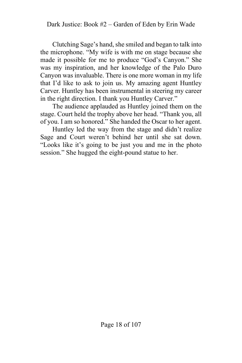Clutching Sage's hand, she smiled and began to talk into the microphone. "My wife is with me on stage because she made it possible for me to produce "God's Canyon." She was my inspiration, and her knowledge of the Palo Duro Canyon was invaluable. There is one more woman in my life that I'd like to ask to join us. My amazing agent Huntley Carver. Huntley has been instrumental in steering my career in the right direction. I thank you Huntley Carver."

The audience applauded as Huntley joined them on the stage. Court held the trophy above her head. "Thank you, all of you. I am so honored." She handed the Oscar to her agent.

Huntley led the way from the stage and didn't realize Sage and Court weren't behind her until she sat down. "Looks like it's going to be just you and me in the photo session." She hugged the eight-pound statue to her.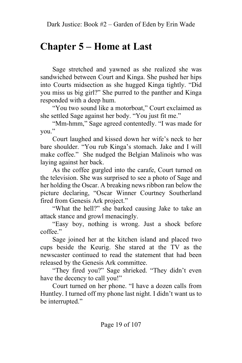#### <span id="page-18-0"></span>**Chapter 5 – Home at Last**

Sage stretched and yawned as she realized she was sandwiched between Court and Kinga. She pushed her hips into Courts midsection as she hugged Kinga tightly. "Did you miss us big girl?" She purred to the panther and Kinga responded with a deep hum.

"You two sound like a motorboat," Court exclaimed as she settled Sage against her body. "You just fit me."

"Mm-hmm," Sage agreed contentedly. "I was made for you."

Court laughed and kissed down her wife's neck to her bare shoulder. "You rub Kinga's stomach. Jake and I will make coffee." She nudged the Belgian Malinois who was laying against her back.

As the coffee gurgled into the carafe, Court turned on the television. She was surprised to see a photo of Sage and her holding the Oscar. A breaking news ribbon ran below the picture declaring, "Oscar Winner Courtney Southerland fired from Genesis Ark project."

"What the hell?" she barked causing Jake to take an attack stance and growl menacingly.

"Easy boy, nothing is wrong. Just a shock before coffee."

Sage joined her at the kitchen island and placed two cups beside the Keurig. She stared at the TV as the newscaster continued to read the statement that had been released by the Genesis Ark committee.

"They fired you?" Sage shrieked. "They didn't even have the decency to call you!"

Court turned on her phone. "I have a dozen calls from Huntley. I turned off my phone last night. I didn't want us to be interrupted."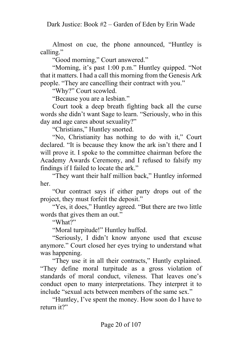Almost on cue, the phone announced, "Huntley is calling."

"Good morning," Court answered."

"Morning, it's past 1:00 p.m." Huntley quipped. "Not that it matters. I had a call this morning from the Genesis Ark people. "They are cancelling their contract with you."

"Why?" Court scowled.

"Because you are a lesbian."

Court took a deep breath fighting back all the curse words she didn't want Sage to learn. "Seriously, who in this day and age cares about sexuality?"

"Christians," Huntley snorted.

"No, Christianity has nothing to do with it," Court declared. "It is because they know the ark isn't there and I will prove it. I spoke to the committee chairman before the Academy Awards Ceremony, and I refused to falsify my findings if I failed to locate the ark."

"They want their half million back," Huntley informed her.

"Our contract says if either party drops out of the project, they must forfeit the deposit."

"Yes, it does," Huntley agreed. "But there are two little words that gives them an out."

"What?"

"Moral turpitude!" Huntley huffed.

"Seriously, I didn't know anyone used that excuse anymore." Court closed her eyes trying to understand what was happening.

"They use it in all their contracts," Huntly explained. "They define moral turpitude as a gross violation of standards of moral conduct, vileness. That leaves one's conduct open to many interpretations. They interpret it to include "sexual acts between members of the same sex."

"Huntley, I've spent the money. How soon do I have to return it?"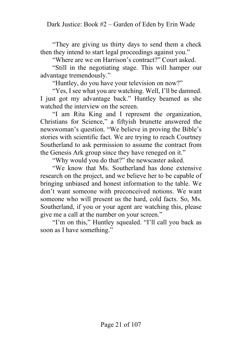"They are giving us thirty days to send them a check then they intend to start legal proceedings against you."

"Where are we on Harrison's contract?" Court asked.

"Still in the negotiating stage. This will hamper our advantage tremendously."

"Huntley, do you have your television on now?"

"Yes, I see what you are watching. Well, I'll be damned. I just got my advantage back." Huntley beamed as she watched the interview on the screen.

"I am Rita King and I represent the organization, Christians for Science," a fiftyish brunette answered the newswoman's question. "We believe in proving the Bible's stories with scientific fact. We are trying to reach Courtney Southerland to ask permission to assume the contract from the Genesis Ark group since they have reneged on it."

"Why would you do that?" the newscaster asked.

"We know that Ms. Southerland has done extensive research on the project, and we believe her to be capable of bringing unbiased and honest information to the table. We don't want someone with preconceived notions. We want someone who will present us the hard, cold facts. So, Ms. Southerland, if you or your agent are watching this, please give me a call at the number on your screen."

"I'm on this," Huntley squealed. "I'll call you back as soon as I have something."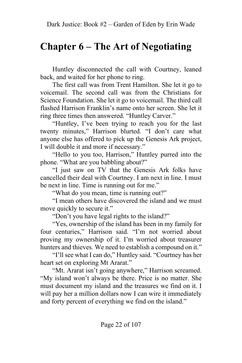#### <span id="page-21-0"></span>**Chapter 6 – The Art of Negotiating**

Huntley disconnected the call with Courtney, leaned back, and waited for her phone to ring.

The first call was from Trent Hamilton. She let it go to voicemail. The second call was from the Christians for Science Foundation. She let it go to voicemail. The third call flashed Harrison Franklin's name onto her screen. She let it ring three times then answered. "Huntley Carver."

"Huntley, I've been trying to reach you for the last twenty minutes," Harrison blurted. "I don't care what anyone else has offered to pick up the Genesis Ark project, I will double it and more if necessary."

"Hello to you too, Harrison," Huntley purred into the phone. "What are you babbling about?"

"I just saw on TV that the Genesis Ark folks have cancelled their deal with Courtney. I am next in line. I must be next in line. Time is running out for me."

"What do you mean, time is running out?"

"I mean others have discovered the island and we must move quickly to secure it."

"Don't you have legal rights to the island?"

"Yes, ownership of the island has been in my family for four centuries," Harrison said. "I'm not worried about proving my ownership of it. I'm worried about treasurer hunters and thieves. We need to establish a compound on it."

"I'll see what I can do," Huntley said. "Courtney has her heart set on exploring Mt Ararat."

"Mt. Ararat isn't going anywhere," Harrison screamed. "My island won't always be there. Price is no matter. She must document my island and the treasures we find on it. I will pay her a million dollars now I can wire it immediately and forty percent of everything we find on the island."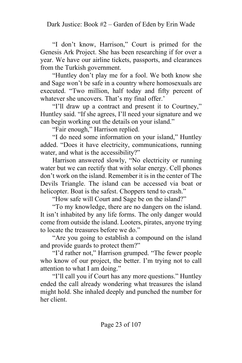"I don't know, Harrison," Court is primed for the Genesis Ark Project. She has been researching if for over a year. We have our airline tickets, passports, and clearances from the Turkish government.

"Huntley don't play me for a fool. We both know she and Sage won't be safe in a country where homosexuals are executed. "Two million, half today and fifty percent of whatever she uncovers. That's my final offer.'

"I'll draw up a contract and present it to Courtney," Huntley said. "If she agrees, I'll need your signature and we can begin working out the details on your island."

"Fair enough," Harrison replied.

"I do need some information on your island," Huntley added. "Does it have electricity, communications, running water, and what is the accessibility?"

Harrison answered slowly, "No electricity or running water but we can rectify that with solar energy. Cell phones don't work on the island. Remember it is in the center of The Devils Triangle. The island can be accessed via boat or helicopter. Boat is the safest. Choppers tend to crash."

"How safe will Court and Sage be on the island?"

"To my knowledge, there are no dangers on the island. It isn't inhabited by any life forms. The only danger would come from outside the island. Looters, pirates, anyone trying to locate the treasures before we do."

"Are you going to establish a compound on the island and provide guards to protect them?"

"I'd rather not," Harrison grumped. "The fewer people who know of our project, the better. I'm trying not to call attention to what I am doing."

"I'll call you if Court has any more questions." Huntley ended the call already wondering what treasures the island might hold. She inhaled deeply and punched the number for her client.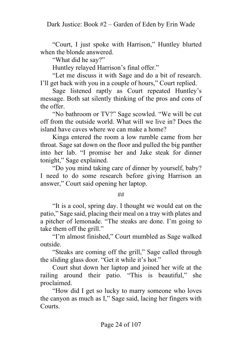"Court, I just spoke with Harrison," Huntley blurted when the blonde answered.

"What did he say?"

Huntley relayed Harrison's final offer."

"Let me discuss it with Sage and do a bit of research. I'll get back with you in a couple of hours," Court replied.

Sage listened raptly as Court repeated Huntley's message. Both sat silently thinking of the pros and cons of the offer.

"No bathroom or TV?" Sage scowled. "We will be cut off from the outside world. What will we live in? Does the island have caves where we can make a home?

Kinga entered the room a low rumble came from her throat. Sage sat down on the floor and pulled the big panther into her lab. "I promise her and Jake steak for dinner tonight," Sage explained.

"Do you mind taking care of dinner by yourself, baby? I need to do some research before giving Harrison an answer," Court said opening her laptop.

##

"It is a cool, spring day. I thought we would eat on the patio," Sage said, placing their meal on a tray with plates and a pitcher of lemonade. "The steaks are done. I'm going to take them off the grill."

"I'm almost finished," Court mumbled as Sage walked outside.

"Steaks are coming off the grill," Sage called through the sliding glass door. "Get it while it's hot."

Court shut down her laptop and joined her wife at the railing around their patio. "This is beautiful," she proclaimed.

"How did I get so lucky to marry someone who loves the canyon as much as I," Sage said, lacing her fingers with Courts.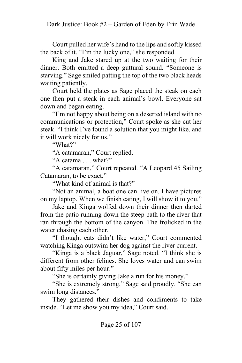Court pulled her wife's hand to the lips and softly kissed the back of it. "I'm the lucky one," she responded.

King and Jake stared up at the two waiting for their dinner. Both emitted a deep guttural sound. "Someone is starving." Sage smiled patting the top of the two black heads waiting patiently.

Court held the plates as Sage placed the steak on each one then put a steak in each animal's bowl. Everyone sat down and began eating.

"I'm not happy about being on a deserted island with no communications or protection," Court spoke as she cut her steak. "I think I've found a solution that you might like. and it will work nicely for us."

"What?"

"A catamaran," Court replied.

"A catama . . . what?"

"A catamaran," Court repeated. "A Leopard 45 Sailing Catamaran, to be exact."

"What kind of animal is that?"

"Not an animal, a boat one can live on. I have pictures on my laptop. When we finish eating, I will show it to you."

Jake and Kinga wolfed down their dinner then darted from the patio running down the steep path to the river that ran through the bottom of the canyon. The frolicked in the water chasing each other.

"I thought cats didn't like water," Court commented watching Kinga outswim her dog against the river current.

"Kinga is a black Jaguar," Sage noted. "I think she is different from other felines. She loves water and can swim about fifty miles per hour."

"She is certainly giving Jake a run for his money."

"She is extremely strong," Sage said proudly. "She can swim long distances."

They gathered their dishes and condiments to take inside. "Let me show you my idea," Court said.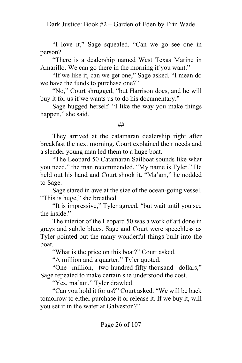"I love it," Sage squealed. "Can we go see one in person?

"There is a dealership named West Texas Marine in Amarillo. We can go there in the morning if you want."

"If we like it, can we get one," Sage asked. "I mean do we have the funds to purchase one?"

"No," Court shrugged, "but Harrison does, and he will buy it for us if we wants us to do his documentary."

Sage hugged herself. "I like the way you make things happen," she said.

##

They arrived at the catamaran dealership right after breakfast the next morning. Court explained their needs and a slender young man led them to a huge boat.

"The Leopard 50 Catamaran Sailboat sounds like what you need," the man recommended. "My name is Tyler." He held out his hand and Court shook it. "Ma'am," he nodded to Sage.

Sage stared in awe at the size of the ocean-going vessel. "This is huge," she breathed.

"It is impressive," Tyler agreed, "but wait until you see the inside."

The interior of the Leopard 50 was a work of art done in grays and subtle blues. Sage and Court were speechless as Tyler pointed out the many wonderful things built into the boat.

"What is the price on this boat?" Court asked.

"A million and a quarter," Tyler quoted.

"One million, two-hundred-fifty-thousand dollars," Sage repeated to make certain she understood the cost.

"Yes, ma'am," Tyler drawled.

"Can you hold it for us?" Court asked. "We will be back tomorrow to either purchase it or release it. If we buy it, will you set it in the water at Galveston?"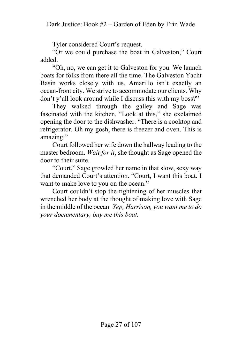Tyler considered Court's request.

"Or we could purchase the boat in Galveston," Court added.

"Oh, no, we can get it to Galveston for you. We launch boats for folks from there all the time. The Galveston Yacht Basin works closely with us. Amarillo isn't exactly an ocean-front city. We strive to accommodate our clients. Why don't y'all look around while I discuss this with my boss?"

They walked through the galley and Sage was fascinated with the kitchen. "Look at this," she exclaimed opening the door to the dishwasher. "There is a cooktop and refrigerator. Oh my gosh, there is freezer and oven. This is amazing."

Court followed her wife down the hallway leading to the master bedroom. *Wait for it*, she thought as Sage opened the door to their suite.

"Court," Sage growled her name in that slow, sexy way that demanded Court's attention. "Court, I want this boat. I want to make love to you on the ocean."

Court couldn't stop the tightening of her muscles that wrenched her body at the thought of making love with Sage in the middle of the ocean. *Yep, Harrison, you want me to do your documentary, buy me this boat.*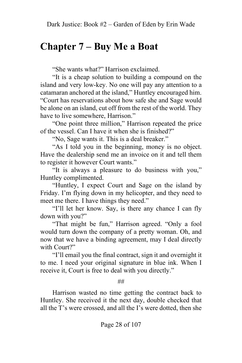## **Chapter 7 – Buy Me a Boat**

"She wants what?" Harrison exclaimed.

"It is a cheap solution to building a compound on the island and very low-key. No one will pay any attention to a catamaran anchored at the island," Huntley encouraged him. "Court has reservations about how safe she and Sage would be alone on an island, cut off from the rest of the world. They have to live somewhere, Harrison."

"One point three million," Harrison repeated the price of the vessel. Can I have it when she is finished?"

"No, Sage wants it. This is a deal breaker."

"As I told you in the beginning, money is no object. Have the dealership send me an invoice on it and tell them to register it however Court wants."

"It is always a pleasure to do business with you," Huntley complimented.

"Huntley, I expect Court and Sage on the island by Friday. I'm flying down in my helicopter, and they need to meet me there. I have things they need."

"I'll let her know. Say, is there any chance I can fly down with you?"

"That might be fun," Harrison agreed. "Only a fool would turn down the company of a pretty woman. Oh, and now that we have a binding agreement, may I deal directly with Court?"

"I'll email you the final contract, sign it and overnight it to me. I need your original signature in blue ink. When I receive it, Court is free to deal with you directly."

##

Harrison wasted no time getting the contract back to Huntley. She received it the next day, double checked that all the T's were crossed, and all the I's were dotted, then she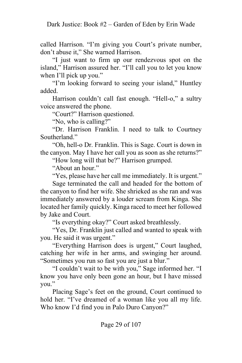called Harrison. "I'm giving you Court's private number, don't abuse it," She warned Harrison.

"I just want to firm up our rendezvous spot on the island," Harrison assured her. "I'll call you to let you know when I'll pick up you."

"I'm looking forward to seeing your island," Huntley added.

Harrison couldn't call fast enough. "Hell-o," a sultry voice answered the phone.

"Court?" Harrison questioned.

"No, who is calling?"

"Dr. Harrison Franklin. I need to talk to Courtney Southerland."

"Oh, hell-o Dr. Franklin. This is Sage. Court is down in the canyon. May I have her call you as soon as she returns?"

"How long will that be?" Harrison grumped.

"About an hour."

"Yes, please have her call me immediately. It is urgent."

Sage terminated the call and headed for the bottom of the canyon to find her wife. She shrieked as she ran and was immediately answered by a louder scream from Kinga. She located her family quickly. Kinga raced to meet her followed by Jake and Court.

"Is everything okay?" Court asked breathlessly.

"Yes, Dr. Franklin just called and wanted to speak with you. He said it was urgent."

"Everything Harrison does is urgent," Court laughed, catching her wife in her arms, and swinging her around. "Sometimes you run so fast you are just a blur."

"I couldn't wait to be with you," Sage informed her. "I know you have only been gone an hour, but I have missed you."

Placing Sage's feet on the ground, Court continued to hold her. "I've dreamed of a woman like you all my life. Who know I'd find you in Palo Duro Canyon?"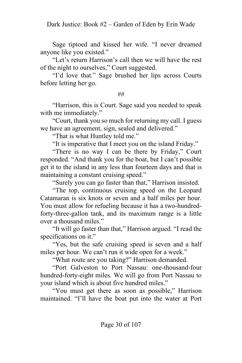Sage tiptoed and kissed her wife. "I never dreamed anyone like you existed."

"Let's return Harrison's call then we will have the rest of the night to ourselves," Court suggested.

"I'd love that." Sage brushed her lips across Courts before letting her go.

##

"Harrison, this is Court. Sage said you needed to speak with me immediately."

"Court, thank you so much for returning my call. I guess we have an agreement, sign, sealed and delivered."

"That is what Huntley told me."

"It is imperative that I meet you on the island Friday."

"There is no way I can be there by Friday," Court responded. "And thank you for the boat, but I can't possible get it to the island in any less than fourteen days and that is maintaining a constant cruising speed."

"Surely you can go faster than that," Harrison insisted.

"The top, continuous cruising speed on the Leopard Catamaran is six knots or seven and a half miles per hour. You must allow for refueling because it has a two-hundredforty-three-gallon tank, and its maximum range is a little over a thousand miles."

"It will go faster than that," Harrison argued. "I read the specifications on it."

"Yes, but the safe cruising speed is seven and a half miles per hour. We can't run it wide open for a week."

"What route are you taking?" Harrison demanded.

"Port Galveston to Port Nassau: one-thousand-four hundred-forty-eight miles. We will go from Port Nassau to your island which is about five hundred miles."

"You must get there as soon as possible," Harrison maintained. "I'll have the boat put into the water at Port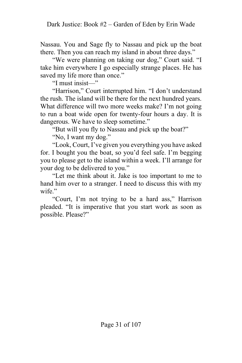Nassau. You and Sage fly to Nassau and pick up the boat there. Then you can reach my island in about three days."

"We were planning on taking our dog," Court said. "I take him everywhere I go especially strange places. He has saved my life more than once."

"I must insist—"

"Harrison," Court interrupted him. "I don't understand the rush. The island will be there for the next hundred years. What difference will two more weeks make? I'm not going to run a boat wide open for twenty-four hours a day. It is dangerous. We have to sleep sometime."

"But will you fly to Nassau and pick up the boat?"

"No, I want my dog."

"Look, Court, I've given you everything you have asked for. I bought you the boat, so you'd feel safe. I'm begging you to please get to the island within a week. I'll arrange for your dog to be delivered to you."

"Let me think about it. Jake is too important to me to hand him over to a stranger. I need to discuss this with my wife."

"Court, I'm not trying to be a hard ass," Harrison pleaded. "It is imperative that you start work as soon as possible. Please?"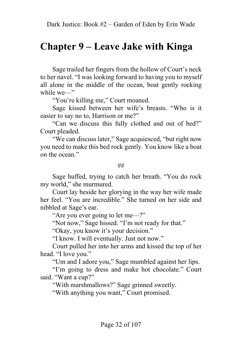#### **Chapter 9 – Leave Jake with Kinga**

Sage trailed her fingers from the hollow of Court's neck to her navel. "I was looking forward to having you to myself all alone in the middle of the ocean, boat gently rocking while we—"

"You're killing me," Court moaned.

Sage kissed between her wife's breasts. "Who is it easier to say no to, Harrison or me?"

"Can we discuss this fully clothed and out of bed?" Court pleaded.

"We can discuss later," Sage acquiesced, "but right now you need to make this bed rock gently. You know like a boat on the ocean."

##

Sage huffed, trying to catch her breath. "You do rock my world," she murmured.

Court lay beside her glorying in the way her wife made her feel. "You are incredible." She turned on her side and nibbled at Sage's ear.

"Are you ever going to let me—?"

"Not now," Sage hissed. "I'm not ready for that."

"Okay, you know it's your decision."

"I know. I will eventually. Just not now."

Court pulled her into her arms and kissed the top of her head. "I love you."

"Um and I adore you," Sage mumbled against her lips.

"I'm going to dress and make hot chocolate." Court said. "Want a cup?"

"With marshmallows?" Sage grinned sweetly.

"With anything you want," Court promised.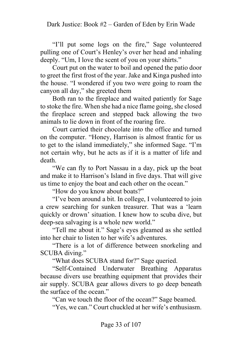"I'll put some logs on the fire," Sage volunteered pulling one of Court's Henley's over her head and inhaling deeply. "Um, I love the scent of you on your shirts."

Court put on the water to boil and opened the patio door to greet the first frost of the year. Jake and Kinga pushed into the house. "I wondered if you two were going to roam the canyon all day," she greeted them

Both ran to the fireplace and waited patiently for Sage to stoke the fire. When she had a nice flame going, she closed the fireplace screen and stepped back allowing the two animals to lie down in front of the roaring fire.

Court carried their chocolate into the office and turned on the computer. "Honey, Harrison is almost frantic for us to get to the island immediately," she informed Sage. "I'm not certain why, but he acts as if it is a matter of life and death.

"We can fly to Port Nassau in a day, pick up the boat and make it to Harrison's Island in five days. That will give us time to enjoy the boat and each other on the ocean."

"How do you know about boats?"

"I've been around a bit. In college, I volunteered to join a crew searching for sunken treasurer. That was a 'learn quickly or drown' situation. I knew how to scuba dive, but deep-sea salvaging is a whole new world."

"Tell me about it." Sage's eyes gleamed as she settled into her chair to listen to her wife's adventures.

"There is a lot of difference between snorkeling and SCUBA diving."

"What does SCUBA stand for?" Sage queried.

"Self-Contained Underwater Breathing Apparatus because divers use breathing equipment that provides their air supply. SCUBA gear allows divers to go deep beneath the surface of the ocean."

"Can we touch the floor of the ocean?" Sage beamed.

"Yes, we can." Court chuckled at her wife's enthusiasm.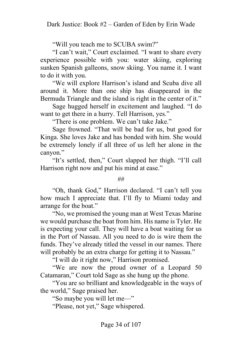"Will you teach me to SCUBA swim?"

"I can't wait," Court exclaimed. "I want to share every experience possible with you: water skiing, exploring sunken Spanish galleons, snow skiing. You name it. I want to do it with you.

"We will explore Harrison's island and Scuba dive all around it. More than one ship has disappeared in the Bermuda Triangle and the island is right in the center of it."

Sage hugged herself in excitement and laughed. "I do want to get there in a hurry. Tell Harrison, yes."

"There is one problem. We can't take Jake."

Sage frowned. "That will be bad for us, but good for Kinga. She loves Jake and has bonded with him. She would be extremely lonely if all three of us left her alone in the canyon."

"It's settled, then," Court slapped her thigh. "I'll call Harrison right now and put his mind at ease."

##

"Oh, thank God," Harrison declared. "I can't tell you how much I appreciate that. I'll fly to Miami today and arrange for the boat."

"No, we promised the young man at West Texas Marine we would purchase the boat from him. His name is Tyler. He is expecting your call. They will have a boat waiting for us in the Port of Nassau. All you need to do is wire them the funds. They've already titled the vessel in our names. There will probably be an extra charge for getting it to Nassau."

"I will do it right now," Harrison promised.

"We are now the proud owner of a Leopard 50 Catamaran," Court told Sage as she hung up the phone.

"You are so brilliant and knowledgeable in the ways of the world," Sage praised her.

"So maybe you will let me—"

"Please, not yet," Sage whispered.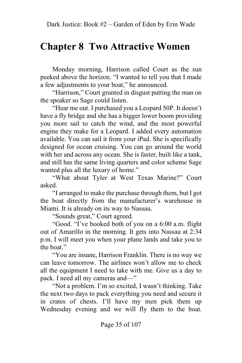## **Chapter 8 Two Attractive Women**

Monday morning, Harrison called Court as the sun peeked above the horizon. "I wanted to tell you that I made a few adjustments to your boat," he announced.

"Harrison," Court grunted in disgust putting the man on the speaker so Sage could listen.

"Hear me out. I purchased you a Leopard 50P. It doesn't have a fly bridge and she has a bigger lower boom providing you more sail to catch the wind, and the most powerful engine they make for a Leopard. I added every automation available. You can sail it from your iPad. She is specifically designed for ocean cruising. You can go around the world with her and across any ocean. She is faster, built like a tank, and still has the same living quarters and color scheme Sage wanted plus all the luxury of home."

"What about Tyler at West Texas Marine?" Court asked.

"I arranged to make the purchase through them, but I got the boat directly from the manufacturer's warehouse in Miami. It is already on its way to Nassau.

"Sounds great," Court agreed.

"Good. "I've booked both of you on a 6:00 a.m. flight out of Amarillo in the morning. It gets into Nassau at 2:34 p.m. I will meet you when your plane lands and take you to the boat."

"You are insane, Harrison Franklin. There is no way we can leave tomorrow. The airlines won't allow me to check all the equipment I need to take with me. Give us a day to pack. I need all my cameras and—"

"Not a problem. I'm so excited, I wasn't thinking. Take the next two days to pack everything you need and secure it in crates of chests. I'll have my men pick them up Wednesday evening and we will fly them to the boat.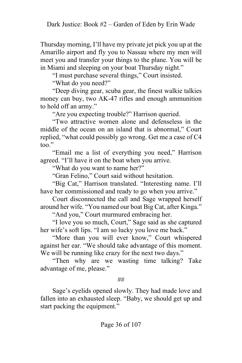Thursday morning, I'll have my private jet pick you up at the Amarillo airport and fly you to Nassau where my men will meet you and transfer your things to the plane. You will be in Miami and sleeping on your boat Thursday night."

"I must purchase several things," Court insisted.

"What do you need?"

"Deep diving gear, scuba gear, the finest walkie talkies money can buy, two AK-47 rifles and enough ammunition to hold off an army."

"Are you expecting trouble?" Harrison queried.

"Two attractive women alone and defenseless in the middle of the ocean on an island that is abnormal," Court replied, "what could possibly go wrong. Get me a case of C4 too."

"Email me a list of everything you need," Harrison agreed. "I'll have it on the boat when you arrive.

"What do you want to name her?"

"Gran Felino," Court said without hesitation.

"Big Cat," Harrison translated. "Interesting name. I'll have her commissioned and ready to go when you arrive."

Court disconnected the call and Sage wrapped herself around her wife. "You named our boat Big Cat, after Kinga."

"And you," Court murmured embracing her.

"I love you so much, Court," Sage said as she captured her wife's soft lips. "I am so lucky you love me back."

"More than you will ever know," Court whispered against her ear. "We should take advantage of this moment. We will be running like crazy for the next two days."

"Then why are we wasting time talking? Take advantage of me, please."

##

Sage's eyelids opened slowly. They had made love and fallen into an exhausted sleep. "Baby, we should get up and start packing the equipment."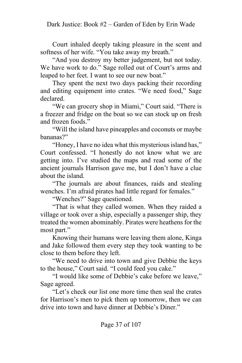Court inhaled deeply taking pleasure in the scent and softness of her wife. "You take away my breath."

"And you destroy my better judgement, but not today. We have work to do." Sage rolled out of Court's arms and leaped to her feet. I want to see our new boat."

They spent the next two days packing their recording and editing equipment into crates. "We need food," Sage declared.

"We can grocery shop in Miami," Court said. "There is a freezer and fridge on the boat so we can stock up on fresh and frozen foods."

"Will the island have pineapples and coconuts or maybe bananas?"

"Honey, I have no idea what this mysterious island has," Court confessed. "I honestly do not know what we are getting into. I've studied the maps and read some of the ancient journals Harrison gave me, but I don't have a clue about the island.

"The journals are about finances, raids and stealing wenches. I'm afraid pirates had little regard for females."

"Wenches?" Sage questioned.

"That is what they called women. When they raided a village or took over a ship, especially a passenger ship, they treated the women abominably. Pirates were heathens for the most part."

Knowing their humans were leaving them alone, Kinga and Jake followed them every step they took wanting to be close to them before they left.

"We need to drive into town and give Debbie the keys to the house," Court said. "I could feed you cake."

"I would like some of Debbie's cake before we leave," Sage agreed.

"Let's check our list one more time then seal the crates for Harrison's men to pick them up tomorrow, then we can drive into town and have dinner at Debbie's Diner."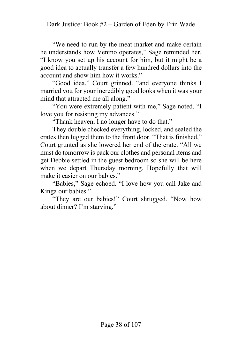"We need to run by the meat market and make certain he understands how Venmo operates," Sage reminded her. "I know you set up his account for him, but it might be a good idea to actually transfer a few hundred dollars into the account and show him how it works."

"Good idea." Court grinned. "and everyone thinks I married you for your incredibly good looks when it was your mind that attracted me all along."

"You were extremely patient with me," Sage noted. "I love you for resisting my advances."

"Thank heaven, I no longer have to do that."

They double checked everything, locked, and sealed the crates then lugged them to the front door. "That is finished," Court grunted as she lowered her end of the crate. "All we must do tomorrow is pack our clothes and personal items and get Debbie settled in the guest bedroom so she will be here when we depart Thursday morning. Hopefully that will make it easier on our babies."

"Babies," Sage echoed. "I love how you call Jake and Kinga our babies."

"They are our babies!" Court shrugged. "Now how about dinner? I'm starving."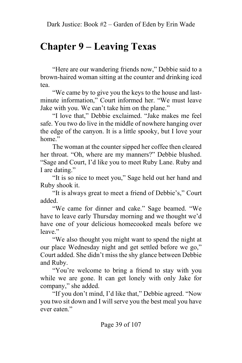# **Chapter 9 – Leaving Texas**

"Here are our wandering friends now," Debbie said to a brown-haired woman sitting at the counter and drinking iced tea.

"We came by to give you the keys to the house and lastminute information," Court informed her. "We must leave Jake with you. We can't take him on the plane."

"I love that," Debbie exclaimed. "Jake makes me feel safe. You two do live in the middle of nowhere hanging over the edge of the canyon. It is a little spooky, but I love your home."

The woman at the counter sipped her coffee then cleared her throat. "Oh, where are my manners?" Debbie blushed. "Sage and Court, I'd like you to meet Ruby Lane. Ruby and I are dating."

"It is so nice to meet you," Sage held out her hand and Ruby shook it.

"It is always great to meet a friend of Debbie's," Court added.

"We came for dinner and cake." Sage beamed. "We have to leave early Thursday morning and we thought we'd have one of your delicious homecooked meals before we leave."

"We also thought you might want to spend the night at our place Wednesday night and get settled before we go," Court added. She didn't miss the shy glance between Debbie and Ruby.

"You're welcome to bring a friend to stay with you while we are gone. It can get lonely with only Jake for company," she added.

"If you don't mind, I'd like that," Debbie agreed. "Now you two sit down and I will serve you the best meal you have ever eaten."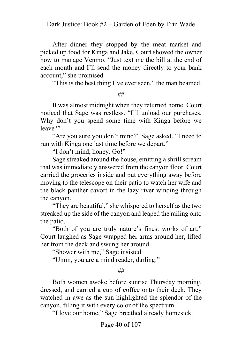After dinner they stopped by the meat market and picked up food for Kinga and Jake. Court showed the owner how to manage Venmo. "Just text me the bill at the end of each month and I'll send the money directly to your bank account," she promised.

"This is the best thing I've ever seen," the man beamed.

##

It was almost midnight when they returned home. Court noticed that Sage was restless. "I'll unload our purchases. Why don't you spend some time with Kinga before we leave?"

"Are you sure you don't mind?" Sage asked. "I need to run with Kinga one last time before we depart."

"I don't mind, honey. Go!"

Sage streaked around the house, emitting a shrill scream that was immediately answered from the canyon floor. Court carried the groceries inside and put everything away before moving to the telescope on their patio to watch her wife and the black panther cavort in the lazy river winding through the canyon.

"They are beautiful," she whispered to herself as the two streaked up the side of the canyon and leaped the railing onto the patio.

"Both of you are truly nature's finest works of art." Court laughed as Sage wrapped her arms around her, lifted her from the deck and swung her around.

"Shower with me," Sage insisted.

"Umm, you are a mind reader, darling."

##

Both women awoke before sunrise Thursday morning, dressed, and carried a cup of coffee onto their deck. They watched in awe as the sun highlighted the splendor of the canyon, filling it with every color of the spectrum.

"I love our home," Sage breathed already homesick.

Page 40 of 107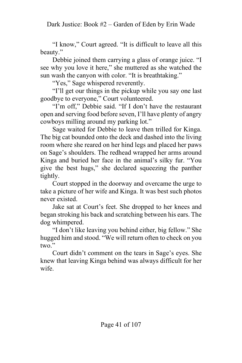"I know," Court agreed. "It is difficult to leave all this beauty."

Debbie joined them carrying a glass of orange juice. "I see why you love it here," she muttered as she watched the sun wash the canyon with color. "It is breathtaking."

"Yes," Sage whispered reverently.

"I'll get our things in the pickup while you say one last goodbye to everyone," Court volunteered.

"I'm off," Debbie said. "If I don't have the restaurant open and serving food before seven, I'll have plenty of angry cowboys milling around my parking lot."

Sage waited for Debbie to leave then trilled for Kinga. The big cat bounded onto the deck and dashed into the living room where she reared on her hind legs and placed her paws on Sage's shoulders. The redhead wrapped her arms around Kinga and buried her face in the animal's silky fur. "You give the best hugs," she declared squeezing the panther tightly.

Court stopped in the doorway and overcame the urge to take a picture of her wife and Kinga. It was best such photos never existed.

Jake sat at Court's feet. She dropped to her knees and began stroking his back and scratching between his ears. The dog whimpered.

"I don't like leaving you behind either, big fellow." She hugged him and stood. "We will return often to check on you two."

Court didn't comment on the tears in Sage's eyes. She knew that leaving Kinga behind was always difficult for her wife.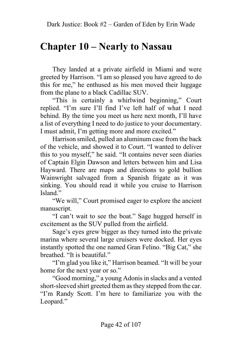## **Chapter 10 – Nearly to Nassau**

They landed at a private airfield in Miami and were greeted by Harrison. "I am so pleased you have agreed to do this for me," he enthused as his men moved their luggage from the plane to a black Cadillac SUV.

"This is certainly a whirlwind beginning," Court replied. "I'm sure I'll find I've left half of what I need behind. By the time you meet us here next month, I'll have a list of everything I need to do justice to your documentary. I must admit, I'm getting more and more excited."

Harrison smiled, pulled an aluminum case from the back of the vehicle, and showed it to Court. "I wanted to deliver this to you myself," he said. "It contains never seen diaries of Captain Elgin Dawson and letters between him and Lisa Hayward. There are maps and directions to gold bullion Wainwright salvaged from a Spanish frigate as it was sinking. You should read it while you cruise to Harrison Island."

"We will," Court promised eager to explore the ancient manuscript.

"I can't wait to see the boat." Sage hugged herself in excitement as the SUV pulled from the airfield.

Sage's eyes grew bigger as they turned into the private marina where several large cruisers were docked. Her eyes instantly spotted the one named Gran Felino. "Big Cat," she breathed. "It is beautiful."

"I'm glad you like it," Harrison beamed. "It will be your home for the next year or so."

"Good morning," a young Adonis in slacks and a vented short-sleeved shirt greeted them as they stepped from the car. "I'm Randy Scott. I'm here to familiarize you with the Leopard."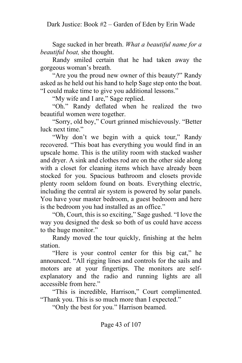Sage sucked in her breath. *What a beautiful name for a beautiful boat,* she thought.

Randy smiled certain that he had taken away the gorgeous woman's breath.

"Are you the proud new owner of this beauty?" Randy asked as he held out his hand to help Sage step onto the boat. "I could make time to give you additional lessons."

"My wife and I are," Sage replied.

"Oh." Randy deflated when he realized the two beautiful women were together.

"Sorry, old boy," Court grinned mischievously. "Better luck next time."

"Why don't we begin with a quick tour," Randy recovered. "This boat has everything you would find in an upscale home. This is the utility room with stacked washer and dryer. A sink and clothes rod are on the other side along with a closet for cleaning items which have already been stocked for you. Spacious bathroom and closets provide plenty room seldom found on boats. Everything electric, including the central air system is powered by solar panels. You have your master bedroom, a guest bedroom and here is the bedroom you had installed as an office."

"Oh, Court, this is so exciting," Sage gushed. "I love the way you designed the desk so both of us could have access to the huge monitor."

Randy moved the tour quickly, finishing at the helm station.

"Here is your control center for this big cat," he announced. "All rigging lines and controls for the sails and motors are at your fingertips. The monitors are selfexplanatory and the radio and running lights are all accessible from here."

"This is incredible, Harrison," Court complimented. "Thank you. This is so much more than I expected."

"Only the best for you." Harrison beamed.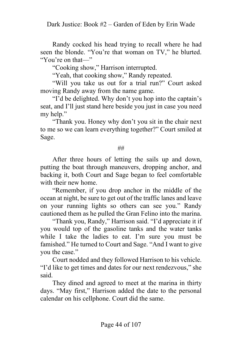Randy cocked his head trying to recall where he had seen the blonde. "You're that woman on TV," he blurted. "You're on that—"

"Cooking show," Harrison interrupted.

"Yeah, that cooking show," Randy repeated.

"Will you take us out for a trial run?" Court asked moving Randy away from the name game.

"I'd be delighted. Why don't you hop into the captain's seat, and I'll just stand here beside you just in case you need my help."

"Thank you. Honey why don't you sit in the chair next to me so we can learn everything together?" Court smiled at Sage.

##

After three hours of letting the sails up and down, putting the boat through maneuvers, dropping anchor, and backing it, both Court and Sage began to feel comfortable with their new home.

"Remember, if you drop anchor in the middle of the ocean at night, be sure to get out of the traffic lanes and leave on your running lights so others can see you." Randy cautioned them as he pulled the Gran Felino into the marina.

"Thank you, Randy," Harrison said. "I'd appreciate it if you would top of the gasoline tanks and the water tanks while I take the ladies to eat. I'm sure you must be famished." He turned to Court and Sage. "And I want to give you the case."

Court nodded and they followed Harrison to his vehicle. "I'd like to get times and dates for our next rendezvous," she said.

They dined and agreed to meet at the marina in thirty days. "May first," Harrison added the date to the personal calendar on his cellphone. Court did the same.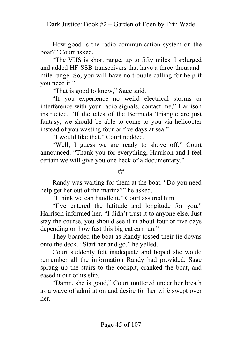How good is the radio communication system on the boat?" Court asked.

"The VHS is short range, up to fifty miles. I splurged and added HF-SSB transceivers that have a three-thousandmile range. So, you will have no trouble calling for help if you need it."

"That is good to know," Sage said.

"If you experience no weird electrical storms or interference with your radio signals, contact me," Harrison instructed. "If the tales of the Bermuda Triangle are just fantasy, we should be able to come to you via helicopter instead of you wasting four or five days at sea."

"I would like that." Court nodded.

"Well, I guess we are ready to shove off," Court announced. "Thank you for everything, Harrison and I feel certain we will give you one heck of a documentary."

##

Randy was waiting for them at the boat. "Do you need help get her out of the marina?" he asked.

"I think we can handle it," Court assured him.

"I've entered the latitude and longitude for you," Harrison informed her. "I didn't trust it to anyone else. Just stay the course, you should see it in about four or five days depending on how fast this big cat can run."

They boarded the boat as Randy tossed their tie downs onto the deck. "Start her and go," he yelled.

Court suddenly felt inadequate and hoped she would remember all the information Randy had provided. Sage sprang up the stairs to the cockpit, cranked the boat, and eased it out of its slip.

"Damn, she is good," Court muttered under her breath as a wave of admiration and desire for her wife swept over her.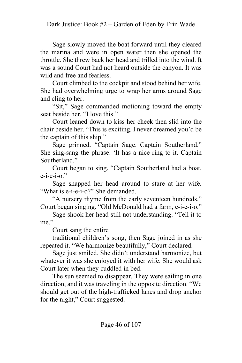Sage slowly moved the boat forward until they cleared the marina and were in open water then she opened the throttle. She threw back her head and trilled into the wind. It was a sound Court had not heard outside the canyon. It was wild and free and fearless.

Court climbed to the cockpit and stood behind her wife. She had overwhelming urge to wrap her arms around Sage and cling to her.

"Sit," Sage commanded motioning toward the empty seat beside her. "I love this."

Court leaned down to kiss her cheek then slid into the chair beside her. "This is exciting. I never dreamed you'd be the captain of this ship."

Sage grinned. "Captain Sage. Captain Southerland." She sing-sang the phrase. 'It has a nice ring to it. Captain Southerland."

Court began to sing, "Captain Southerland had a boat,  $e$ -i- $e$ -i-o."

Sage snapped her head around to stare at her wife. "What is e-i-e-i-o?" She demanded.

"A nursery rhyme from the early seventeen hundreds." Court began singing. "Old McDonald had a farm, e-i-e-i-o."

Sage shook her head still not understanding. "Tell it to me."

Court sang the entire

traditional children's song, then Sage joined in as she repeated it. "We harmonize beautifully," Court declared.

Sage just smiled. She didn't understand harmonize, but whatever it was she enjoyed it with her wife. She would ask Court later when they cuddled in bed.

The sun seemed to disappear. They were sailing in one direction, and it was traveling in the opposite direction. "We should get out of the high-trafficked lanes and drop anchor for the night," Court suggested.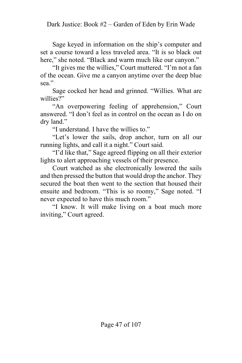Sage keyed in information on the ship's computer and set a course toward a less traveled area. "It is so black out here," she noted. "Black and warm much like our canyon."

"It gives me the willies," Court muttered. "I'm not a fan of the ocean. Give me a canyon anytime over the deep blue sea."

Sage cocked her head and grinned. "Willies. What are willies?"

"An overpowering feeling of apprehension," Court answered. "I don't feel as in control on the ocean as I do on dry land."

"I understand. I have the willies to."

"Let's lower the sails, drop anchor, turn on all our running lights, and call it a night." Court said.

"I'd like that," Sage agreed flipping on all their exterior lights to alert approaching vessels of their presence.

Court watched as she electronically lowered the sails and then pressed the button that would drop the anchor. They secured the boat then went to the section that housed their ensuite and bedroom. "This is so roomy," Sage noted. "I never expected to have this much room."

"I know. It will make living on a boat much more inviting," Court agreed.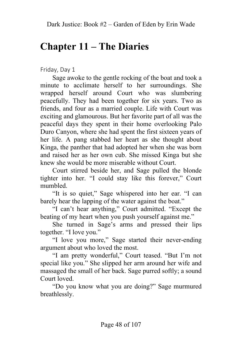# **Chapter 11 – The Diaries**

Friday, Day 1

Sage awoke to the gentle rocking of the boat and took a minute to acclimate herself to her surroundings. She wrapped herself around Court who was slumbering peacefully. They had been together for six years. Two as friends, and four as a married couple. Life with Court was exciting and glamourous. But her favorite part of all was the peaceful days they spent in their home overlooking Palo Duro Canyon, where she had spent the first sixteen years of her life. A pang stabbed her heart as she thought about Kinga, the panther that had adopted her when she was born and raised her as her own cub. She missed Kinga but she knew she would be more miserable without Court.

Court stirred beside her, and Sage pulled the blonde tighter into her. "I could stay like this forever," Court mumbled.

"It is so quiet," Sage whispered into her ear. "I can barely hear the lapping of the water against the boat."

"I can't hear anything," Court admitted. "Except the beating of my heart when you push yourself against me."

She turned in Sage's arms and pressed their lips together. "I love you."

"I love you more," Sage started their never-ending argument about who loved the most.

"I am pretty wonderful," Court teased. "But I'm not special like you." She slipped her arm around her wife and massaged the small of her back. Sage purred softly; a sound Court loved.

"Do you know what you are doing?" Sage murmured breathlessly.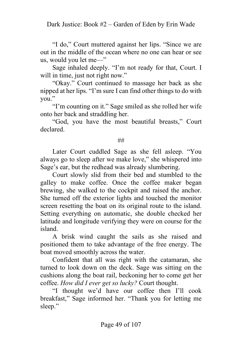"I do," Court muttered against her lips. "Since we are out in the middle of the ocean where no one can hear or see us, would you let me—"

Sage inhaled deeply. "I'm not ready for that, Court. I will in time, just not right now."

"Okay." Court continued to massage her back as she nipped at her lips. "I'm sure I can find other things to do with you."

"I'm counting on it." Sage smiled as she rolled her wife onto her back and straddling her.

"God, you have the most beautiful breasts," Court declared.

#### ##

Later Court cuddled Sage as she fell asleep. "You always go to sleep after we make love," she whispered into Sage's ear, but the redhead was already slumbering.

Court slowly slid from their bed and stumbled to the galley to make coffee. Once the coffee maker began brewing, she walked to the cockpit and raised the anchor. She turned off the exterior lights and touched the monitor screen resetting the boat on its original route to the island. Setting everything on automatic, she double checked her latitude and longitude verifying they were on course for the island.

A brisk wind caught the sails as she raised and positioned them to take advantage of the free energy. The boat moved smoothly across the water.

Confident that all was right with the catamaran, she turned to look down on the deck. Sage was sitting on the cushions along the boat rail, beckoning her to come get her coffee. *How did I ever get so lucky?* Court thought.

"I thought we'd have our coffee then I'll cook breakfast," Sage informed her. "Thank you for letting me sleep."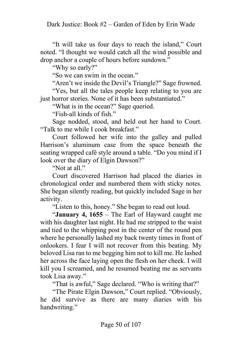"It will take us four days to reach the island," Court noted. "I thought we would catch all the wind possible and drop anchor a couple of hours before sundown."

"Why so early?"

"So we can swim in the ocean."

"Aren't we inside the Devil's Triangle?" Sage frowned.

"Yes, but all the tales people keep relating to you are just horror stories. None of it has been substantiated."

"What is in the ocean?" Sage queried.

"Fish-all kinds of fish."

Sage nodded, stood, and held out her hand to Court. "Talk to me while I cook breakfast."

Court followed her wife into the galley and pulled Harrison's aluminum case from the space beneath the seating wrapped café style around a table. "Do you mind if I look over the diary of Elgin Dawson?"

"Not at all."

Court discovered Harrison had placed the diaries in chronological order and numbered them with sticky notes. She began silently reading, but quickly included Sage in her activity.

"Listen to this, honey." She began to read out loud.

"**January 4, 1655** – The Earl of Hayward caught me with his daughter last night. He had me stripped to the waist and tied to the whipping post in the center of the round pen where he personally lashed my back twenty times in front of onlookers. I fear I will not recover from this beating. My beloved Lisa ran to me begging him not to kill me. He lashed her across the face laying open the flesh on her cheek. I will kill you I screamed, and he resumed beating me as servants took Lisa away."

"That is awful," Sage declared. "Who is writing that?"

"The Pirate Elgin Dawson," Court replied. "Obviously, he did survive as there are many diaries with his handwriting."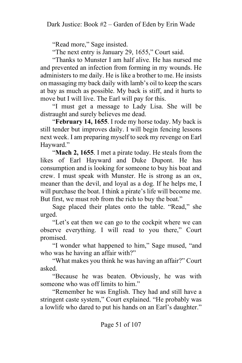"Read more," Sage insisted.

"The next entry is January 29, 1655," Court said.

"Thanks to Munster I am half alive. He has nursed me and prevented an infection from forming in my wounds. He administers to me daily. He is like a brother to me. He insists on massaging my back daily with lamb's oil to keep the scars at bay as much as possible. My back is stiff, and it hurts to move but I will live. The Earl will pay for this.

"I must get a message to Lady Lisa. She will be distraught and surely believes me dead.

"**February 14, 1655**. I rode my horse today. My back is still tender but improves daily. I will begin fencing lessons next week. I am preparing myself to seek my revenge on Earl Hayward."

"**Mach 2, 1655**. I met a pirate today. He steals from the likes of Earl Hayward and Duke Dupont. He has consumption and is looking for someone to buy his boat and crew. I must speak with Munster. He is strong as an ox, meaner than the devil, and loyal as a dog. If he helps me, I will purchase the boat. I think a pirate's life will become me. But first, we must rob from the rich to buy the boat."

Sage placed their plates onto the table. "Read," she urged.

"Let's eat then we can go to the cockpit where we can observe everything. I will read to you there," Court promised.

"I wonder what happened to him," Sage mused, "and who was he having an affair with?"

"What makes you think he was having an affair?" Court asked.

"Because he was beaten. Obviously, he was with someone who was off limits to him."

"Remember he was English. They had and still have a stringent caste system," Court explained. "He probably was a lowlife who dared to put his hands on an Earl's daughter."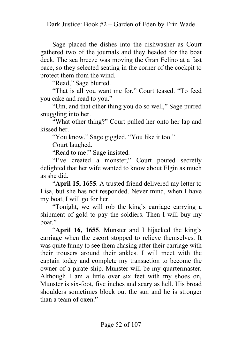Sage placed the dishes into the dishwasher as Court gathered two of the journals and they headed for the boat deck. The sea breeze was moving the Gran Felino at a fast pace, so they selected seating in the corner of the cockpit to protect them from the wind.

"Read," Sage blurted.

"That is all you want me for," Court teased. "To feed you cake and read to you."

"Um, and that other thing you do so well," Sage purred snuggling into her.

"What other thing?" Court pulled her onto her lap and kissed her.

"You know." Sage giggled. "You like it too."

Court laughed.

"Read to me!" Sage insisted.

"I've created a monster," Court pouted secretly delighted that her wife wanted to know about Elgin as much as she did.

"**April 15, 1655**. A trusted friend delivered my letter to Lisa, but she has not responded. Never mind, when I have my boat, I will go for her.

"Tonight, we will rob the king's carriage carrying a shipment of gold to pay the soldiers. Then I will buy my boat."

"**April 16, 1655**. Munster and I hijacked the king's carriage when the escort stopped to relieve themselves. It was quite funny to see them chasing after their carriage with their trousers around their ankles. I will meet with the captain today and complete my transaction to become the owner of a pirate ship. Munster will be my quartermaster. Although I am a little over six feet with my shoes on, Munster is six-foot, five inches and scary as hell. His broad shoulders sometimes block out the sun and he is stronger than a team of oxen."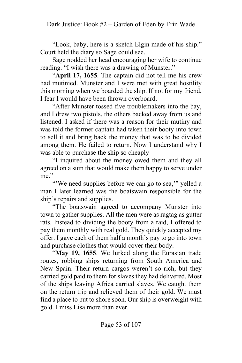"Look, baby, here is a sketch Elgin made of his ship." Court held the diary so Sage could see.

Sage nodded her head encouraging her wife to continue reading. "I wish there was a drawing of Munster."

"**April 17, 1655**. The captain did not tell me his crew had mutinied. Munster and I were met with great hostility this morning when we boarded the ship. If not for my friend, I fear I would have been thrown overboard.

"After Munster tossed five troublemakers into the bay, and I drew two pistols, the others backed away from us and listened. I asked if there was a reason for their mutiny and was told the former captain had taken their booty into town to sell it and bring back the money that was to be divided among them. He failed to return. Now I understand why I was able to purchase the ship so cheaply

"I inquired about the money owed them and they all agreed on a sum that would make them happy to serve under me."

"We need supplies before we can go to sea," yelled a man I later learned was the boatswain responsible for the ship's repairs and supplies.

"The boatswain agreed to accompany Munster into town to gather supplies. All the men were as ragtag as gutter rats. Instead to dividing the booty from a raid, I offered to pay them monthly with real gold. They quickly accepted my offer. I gave each of them half a month's pay to go into town and purchase clothes that would cover their body.

"**May 19, 1655**. We lurked along the Eurasian trade routes, robbing ships returning from South America and New Spain. Their return cargos weren't so rich, but they carried gold paid to them for slaves they had delivered. Most of the ships leaving Africa carried slaves. We caught them on the return trip and relieved them of their gold. We must find a place to put to shore soon. Our ship is overweight with gold. I miss Lisa more than ever.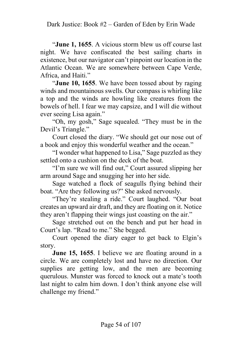"**June 1, 1655**. A vicious storm blew us off course last night. We have confiscated the best sailing charts in existence, but our navigator can't pinpoint our location in the Atlantic Ocean. We are somewhere between Cape Verde, Africa, and Haiti."

"**June 10, 1655**. We have been tossed about by raging winds and mountainous swells. Our compass is whirling like a top and the winds are howling like creatures from the bowels of hell. I fear we may capsize, and I will die without ever seeing Lisa again."

"Oh, my gosh," Sage squealed. "They must be in the Devil's Triangle."

Court closed the diary. "We should get our nose out of a book and enjoy this wonderful weather and the ocean."

"I wonder what happened to Lisa," Sage puzzled as they settled onto a cushion on the deck of the boat.

"I'm sure we will find out," Court assured slipping her arm around Sage and snugging her into her side.

Sage watched a flock of seagulls flying behind their boat. "Are they following us?" She asked nervously.

"They're stealing a ride." Court laughed. "Our boat creates an upward air draft, and they are floating on it. Notice they aren't flapping their wings just coasting on the air."

Sage stretched out on the bench and put her head in Court's lap. "Read to me." She begged.

Court opened the diary eager to get back to Elgin's story.

**June 15, 1655**. I believe we are floating around in a circle. We are completely lost and have no direction. Our supplies are getting low, and the men are becoming querulous. Munster was forced to knock out a mate's tooth last night to calm him down. I don't think anyone else will challenge my friend."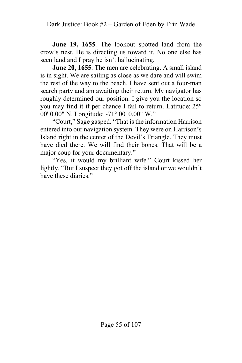**June 19, 1655**. The lookout spotted land from the crow's nest. He is directing us toward it. No one else has seen land and I pray he isn't hallucinating.

**June 20, 1655**. The men are celebrating. A small island is in sight. We are sailing as close as we dare and will swim the rest of the way to the beach. I have sent out a four-man search party and am awaiting their return. My navigator has roughly determined our position. I give you the location so you may find it if per chance I fail to return. Latitude: 25° 00' 0.00" N. Longitude: -71° 00' 0.00" W."

"Court," Sage gasped. "That is the information Harrison entered into our navigation system. They were on Harrison's Island right in the center of the Devil's Triangle. They must have died there. We will find their bones. That will be a major coup for your documentary."

"Yes, it would my brilliant wife." Court kissed her lightly. "But I suspect they got off the island or we wouldn't have these diaries."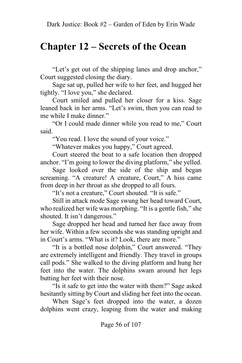## **Chapter 12 – Secrets of the Ocean**

"Let's get out of the shipping lanes and drop anchor," Court suggested closing the diary.

Sage sat up, pulled her wife to her feet, and hugged her tightly. "I love you," she declared.

Court smiled and pulled her closer for a kiss. Sage leaned back in her arms. "Let's swim, then you can read to me while I make dinner."

"Or I could made dinner while you read to me," Court said.

"You read. I love the sound of your voice."

"Whatever makes you happy," Court agreed.

Court steered the boat to a safe location then dropped anchor. "I'm going to lower the diving platform," she yelled.

Sage looked over the side of the ship and began screaming. "A creature! A creature, Court," A hiss came from deep in her throat as she dropped to all fours.

"It's not a creature," Court shouted. "It is safe."

Still in attack mode Sage swung her head toward Court, who realized her wife was morphing. "It is a gentle fish," she shouted. It isn't dangerous."

Sage dropped her head and turned her face away from her wife. Within a few seconds she was standing upright and in Court's arms. "What is it? Look, there are more."

"It is a bottled nose dolphin," Court answered. "They are extremely intelligent and friendly. They travel in groups call pods." She walked to the diving platform and hung her feet into the water. The dolphins swam around her legs butting her feet with their nose.

"Is it safe to get into the water with them?" Sage asked hesitantly sitting by Court and sliding her feet into the ocean.

When Sage's feet dropped into the water, a dozen dolphins went crazy, leaping from the water and making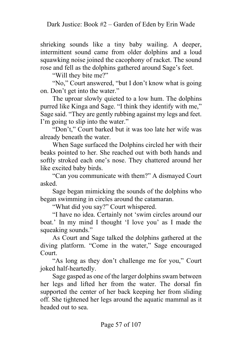shrieking sounds like a tiny baby wailing. A deeper, intermittent sound came from older dolphins and a loud squawking noise joined the cacophony of racket. The sound rose and fell as the dolphins gathered around Sage's feet.

"Will they bite me?"

"No," Court answered, "but I don't know what is going on. Don't get into the water."

The uproar slowly quieted to a low hum. The dolphins purred like Kinga and Sage. "I think they identify with me," Sage said. "They are gently rubbing against my legs and feet. I'm going to slip into the water."

"Don't," Court barked but it was too late her wife was already beneath the water.

When Sage surfaced the Dolphins circled her with their beaks pointed to her. She reached out with both hands and softly stroked each one's nose. They chattered around her like excited baby birds.

"Can you communicate with them?" A dismayed Court asked.

Sage began mimicking the sounds of the dolphins who began swimming in circles around the catamaran.

"What did you say?" Court whispered.

"I have no idea. Certainly not 'swim circles around our boat.' In my mind I thought 'I love you' as I made the squeaking sounds."

As Court and Sage talked the dolphins gathered at the diving platform. "Come in the water," Sage encouraged Court.

"As long as they don't challenge me for you," Court joked half-heartedly.

Sage gasped as one of the larger dolphins swam between her legs and lifted her from the water. The dorsal fin supported the center of her back keeping her from sliding off. She tightened her legs around the aquatic mammal as it headed out to sea.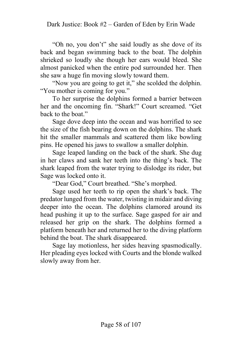"Oh no, you don't" she said loudly as she dove of its back and began swimming back to the boat. The dolphin shrieked so loudly she though her ears would bleed. She almost panicked when the entire pod surrounded her. Then she saw a huge fin moving slowly toward them.

"Now you are going to get it," she scolded the dolphin. "You mother is coming for you."

To her surprise the dolphins formed a barrier between her and the oncoming fin. "Shark!" Court screamed. "Get back to the boat."

Sage dove deep into the ocean and was horrified to see the size of the fish bearing down on the dolphins. The shark hit the smaller mammals and scattered them like bowling pins. He opened his jaws to swallow a smaller dolphin.

Sage leaped landing on the back of the shark. She dug in her claws and sank her teeth into the thing's back. The shark leaped from the water trying to dislodge its rider, but Sage was locked onto it.

"Dear God," Court breathed. "She's morphed.

Sage used her teeth to rip open the shark's back. The predator lunged from the water, twisting in midair and diving deeper into the ocean. The dolphins clamored around its head pushing it up to the surface. Sage gasped for air and released her grip on the shark. The dolphins formed a platform beneath her and returned her to the diving platform behind the boat. The shark disappeared.

Sage lay motionless, her sides heaving spasmodically. Her pleading eyes locked with Courts and the blonde walked slowly away from her.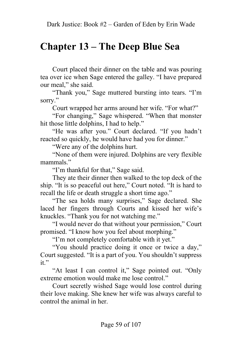# **Chapter 13 – The Deep Blue Sea**

Court placed their dinner on the table and was pouring tea over ice when Sage entered the galley. "I have prepared our meal," she said.

"Thank you," Sage muttered bursting into tears. "I'm sorry."

Court wrapped her arms around her wife. "For what?"

"For changing," Sage whispered. "When that monster hit those little dolphins, I had to help."

"He was after you." Court declared. "If you hadn't reacted so quickly, he would have had you for dinner."

"Were any of the dolphins hurt.

"None of them were injured. Dolphins are very flexible mammals."

"I'm thankful for that," Sage said.

They ate their dinner then walked to the top deck of the ship. "It is so peaceful out here," Court noted. "It is hard to recall the life or death struggle a short time ago."

"The sea holds many surprises," Sage declared. She laced her fingers through Courts and kissed her wife's knuckles. "Thank you for not watching me."

"I would never do that without your permission," Court promised. "I know how you feel about morphing."

"I'm not completely comfortable with it yet."

"You should practice doing it once or twice a day," Court suggested. "It is a part of you. You shouldn't suppress it."

"At least I can control it," Sage pointed out. "Only extreme emotion would make me lose control."

Court secretly wished Sage would lose control during their love making. She knew her wife was always careful to control the animal in her.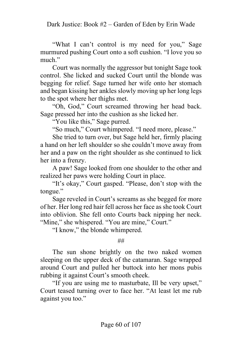"What I can't control is my need for you," Sage murmured pushing Court onto a soft cushion. "I love you so much."

Court was normally the aggressor but tonight Sage took control. She licked and sucked Court until the blonde was begging for relief. Sage turned her wife onto her stomach and began kissing her ankles slowly moving up her long legs to the spot where her thighs met.

"Oh, God," Court screamed throwing her head back. Sage pressed her into the cushion as she licked her.

"You like this," Sage purred.

"So much," Court whimpered. "I need more, please."

She tried to turn over, but Sage held her, firmly placing a hand on her left shoulder so she couldn't move away from her and a paw on the right shoulder as she continued to lick her into a frenzy.

A paw! Sage looked from one shoulder to the other and realized her paws were holding Court in place.

"It's okay," Court gasped. "Please, don't stop with the tongue."

Sage reveled in Court's screams as she begged for more of her. Her long red hair fell across her face as she took Court into oblivion. She fell onto Courts back nipping her neck. "Mine," she whispered. "You are mine," Court."

"I know," the blonde whimpered.

##

The sun shone brightly on the two naked women sleeping on the upper deck of the catamaran. Sage wrapped around Court and pulled her buttock into her mons pubis rubbing it against Court's smooth cheek.

"If you are using me to masturbate, Ill be very upset," Court teased turning over to face her. "At least let me rub against you too."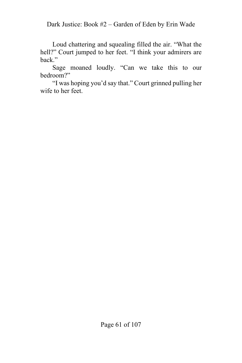Dark Justice: Book #2 – Garden of Eden by Erin Wade

Loud chattering and squealing filled the air. "What the hell?" Court jumped to her feet. "I think your admirers are back."

Sage moaned loudly. "Can we take this to our bedroom?"

"I was hoping you'd say that." Court grinned pulling her wife to her feet.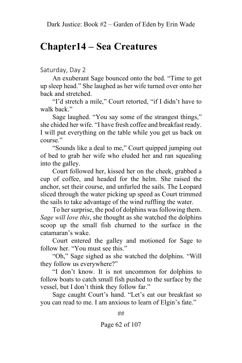#### **Chapter14 – Sea Creatures**

Saturday, Day 2

An exuberant Sage bounced onto the bed. "Time to get up sleep head." She laughed as her wife turned over onto her back and stretched.

"I'd stretch a mile," Court retorted, "if I didn't have to walk back."

Sage laughed. "You say some of the strangest things," she chided her wife. "I have fresh coffee and breakfast ready. I will put everything on the table while you get us back on course."

"Sounds like a deal to me," Court quipped jumping out of bed to grab her wife who eluded her and ran squealing into the galley.

Court followed her, kissed her on the cheek, grabbed a cup of coffee, and headed for the helm. She raised the anchor, set their course, and unfurled the sails. The Leopard sliced through the water picking up speed as Court trimmed the sails to take advantage of the wind ruffling the water.

To her surprise, the pod of dolphins was following them. *Sage will love this*, she thought as she watched the dolphins scoop up the small fish churned to the surface in the catamaran's wake.

Court entered the galley and motioned for Sage to follow her. "You must see this."

"Oh," Sage sighed as she watched the dolphins. "Will they follow us everywhere?"

"I don't know. It is not uncommon for dolphins to follow boats to catch small fish pushed to the surface by the vessel, but I don't think they follow far."

Sage caught Court's hand. "Let's eat our breakfast so you can read to me. I am anxious to learn of Elgin's fate."

##

Page 62 of 107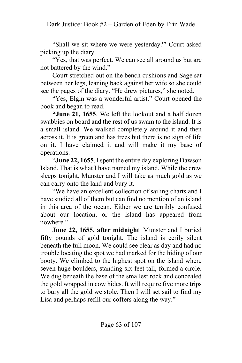"Shall we sit where we were yesterday?" Court asked picking up the diary.

"Yes, that was perfect. We can see all around us but are not battered by the wind."

Court stretched out on the bench cushions and Sage sat between her legs, leaning back against her wife so she could see the pages of the diary. "He drew pictures," she noted.

"Yes, Elgin was a wonderful artist." Court opened the book and began to read.

**"June 21, 1655**. We left the lookout and a half dozen swabbies on board and the rest of us swam to the island. It is a small island. We walked completely around it and then across it. It is green and has trees but there is no sign of life on it. I have claimed it and will make it my base of operations.

"**June 22, 1655**. I spent the entire day exploring Dawson Island. That is what I have named my island. While the crew sleeps tonight, Munster and I will take as much gold as we can carry onto the land and bury it.

"We have an excellent collection of sailing charts and I have studied all of them but can find no mention of an island in this area of the ocean. Either we are terribly confused about our location, or the island has appeared from nowhere."

**June 22, 1655, after midnight**. Munster and I buried fifty pounds of gold tonight. The island is eerily silent beneath the full moon. We could see clear as day and had no trouble locating the spot we had marked for the hiding of our booty. We climbed to the highest spot on the island where seven huge boulders, standing six feet tall, formed a circle. We dug beneath the base of the smallest rock and concealed the gold wrapped in cow hides. It will require five more trips to bury all the gold we stole. Then I will set sail to find my Lisa and perhaps refill our coffers along the way."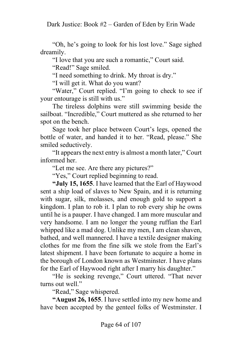"Oh, he's going to look for his lost love." Sage sighed dreamily.

"I love that you are such a romantic," Court said.

"Read!" Sage smiled.

"I need something to drink. My throat is dry."

"I will get it. What do you want?

"Water," Court replied. "I'm going to check to see if your entourage is still with us."

The tireless dolphins were still swimming beside the sailboat. "Incredible," Court muttered as she returned to her spot on the bench.

Sage took her place between Court's legs, opened the bottle of water, and handed it to her. "Read, please." She smiled seductively.

"It appears the next entry is almost a month later," Court informed her.

"Let me see. Are there any pictures?"

"Yes," Court replied beginning to read.

**"July 15, 1655**. I have learned that the Earl of Haywood sent a ship load of slaves to New Spain, and it is returning with sugar, silk, molasses, and enough gold to support a kingdom. I plan to rob it. I plan to rob every ship he owns until he is a pauper. I have changed. I am more muscular and very handsome. I am no longer the young ruffian the Earl whipped like a mad dog. Unlike my men, I am clean shaven, bathed, and well mannered. I have a textile designer making clothes for me from the fine silk we stole from the Earl's latest shipment. I have been fortunate to acquire a home in the borough of London known as Westminster. I have plans for the Earl of Haywood right after I marry his daughter."

"He is seeking revenge," Court uttered. "That never turns out well."

"Read," Sage whispered.

**"August 26, 1655**. I have settled into my new home and have been accepted by the genteel folks of Westminster. I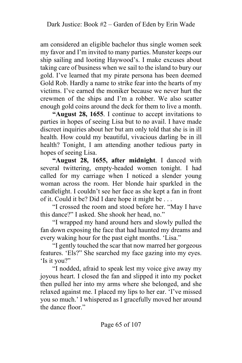am considered an eligible bachelor thus single women seek my favor and I'm invited to many parties. Munster keeps our ship sailing and looting Haywood's. I make excuses about taking care of business when we sail to the island to bury our gold. I've learned that my pirate persona has been deemed Gold Rob. Hardly a name to strike fear into the hearts of my victims. I've earned the moniker because we never hurt the crewmen of the ships and I'm a robber. We also scatter enough gold coins around the deck for them to live a month.

**"August 28, 1655**. I continue to accept invitations to parties in hopes of seeing Lisa but to no avail. I have made discreet inquiries about her but am only told that she is in ill health. How could my beautiful, vivacious darling be in ill health? Tonight, I am attending another tedious party in hopes of seeing Lisa.

**"August 28, 1655, after midnight**. I danced with several twittering, empty-headed women tonight. I had called for my carriage when I noticed a slender young woman across the room. Her blonde hair sparkled in the candlelight. I couldn't see her face as she kept a fan in front of it. Could it be? Did I dare hope it might be . . .

"I crossed the room and stood before her. "May I have this dance?" I asked. She shook her head, no."

"I wrapped my hand around hers and slowly pulled the fan down exposing the face that had haunted my dreams and every waking hour for the past eight months. 'Lisa."

"I gently touched the scar that now marred her gorgeous features. 'Els?" She searched my face gazing into my eyes. 'Is it you?"

"I nodded, afraid to speak lest my voice give away my joyous heart. I closed the fan and slipped it into my pocket then pulled her into my arms where she belonged, and she relaxed against me. I placed my lips to her ear. 'I've missed you so much.' I whispered as I gracefully moved her around the dance floor."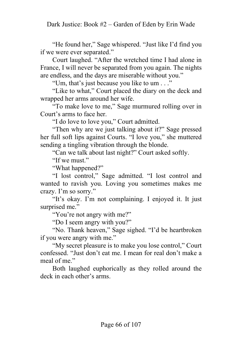"He found her," Sage whispered. "Just like I'd find you if we were ever separated."

Court laughed. "After the wretched time I had alone in France, I will never be separated from you again. The nights are endless, and the days are miserable without you."

"Um, that's just because you like to um . . ."

"Like to what," Court placed the diary on the deck and wrapped her arms around her wife.

"To make love to me," Sage murmured rolling over in Court's arms to face her.

"I do love to love you," Court admitted.

"Then why are we just talking about it?" Sage pressed her full soft lips against Courts. "I love you," she muttered sending a tingling vibration through the blonde.

"Can we talk about last night?" Court asked softly.

"If we must."

"What happened?"

"I lost control," Sage admitted. "I lost control and wanted to ravish you. Loving you sometimes makes me crazy. I'm so sorry."

"It's okay. I'm not complaining. I enjoyed it. It just surprised me."

"You're not angry with me?"

"Do I seem angry with you?"

"No. Thank heaven," Sage sighed. "I'd be heartbroken if you were angry with me."

"My secret pleasure is to make you lose control," Court confessed. "Just don't eat me. I mean for real don't make a meal of me."

Both laughed euphorically as they rolled around the deck in each other's arms.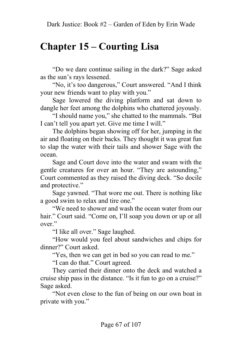# **Chapter 15 – Courting Lisa**

"Do we dare continue sailing in the dark?" Sage asked as the sun's rays lessened.

"No, it's too dangerous," Court answered. "And I think your new friends want to play with you."

Sage lowered the diving platform and sat down to dangle her feet among the dolphins who chattered joyously.

"I should name you," she chatted to the mammals. "But I can't tell you apart yet. Give me time I will."

The dolphins began showing off for her, jumping in the air and floating on their backs. They thought it was great fun to slap the water with their tails and shower Sage with the ocean.

Sage and Court dove into the water and swam with the gentle creatures for over an hour. "They are astounding," Court commented as they raised the diving deck. "So docile and protective."

Sage yawned. "That wore me out. There is nothing like a good swim to relax and tire one."

"We need to shower and wash the ocean water from our hair." Court said. "Come on, I'll soap you down or up or all over."

"I like all over." Sage laughed.

"How would you feel about sandwiches and chips for dinner?" Court asked.

"Yes, then we can get in bed so you can read to me."

"I can do that." Court agreed.

They carried their dinner onto the deck and watched a cruise ship pass in the distance. "Is it fun to go on a cruise?" Sage asked.

"Not even close to the fun of being on our own boat in private with you."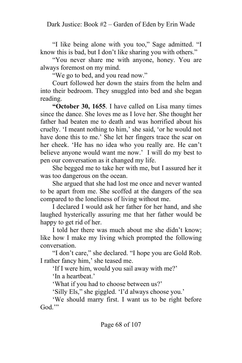"I like being alone with you too," Sage admitted. "I know this is bad, but I don't like sharing you with others."

"You never share me with anyone, honey. You are always foremost on my mind.

"We go to bed, and you read now."

Court followed her down the stairs from the helm and into their bedroom. They snuggled into bed and she began reading.

**"October 30, 1655**. I have called on Lisa many times since the dance. She loves me as I love her. She thought her father had beaten me to death and was horrified about his cruelty. 'I meant nothing to him,' she said, 'or he would not have done this to me.' She let her fingers trace the scar on her cheek. 'He has no idea who you really are. He can't believe anyone would want me now.' I will do my best to pen our conversation as it changed my life.

She begged me to take her with me, but I assured her it was too dangerous on the ocean.

She argued that she had lost me once and never wanted to be apart from me. She scoffed at the dangers of the sea compared to the loneliness of living without me.

I declared I would ask her father for her hand, and she laughed hysterically assuring me that her father would be happy to get rid of her.

I told her there was much about me she didn't know; like how I make my living which prompted the following conversation.

"I don't care," she declared. "I hope you are Gold Rob. I rather fancy him,' she teased me.

'If I were him, would you sail away with me?'

'In a heartbeat.'

'What if you had to choose between us?'

'Silly Els," she giggled. 'I'd always choose you.'

'We should marry first. I want us to be right before God."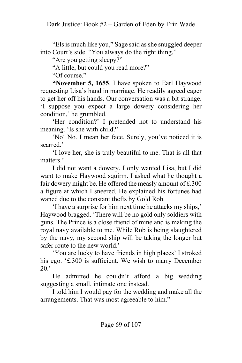"Els is much like you," Sage said as she snuggled deeper into Court's side. "You always do the right thing."

"Are you getting sleepy?"

"A little, but could you read more?"

"Of course."

**"November 5, 1655**. I have spoken to Earl Haywood requesting Lisa's hand in marriage. He readily agreed eager to get her off his hands. Our conversation was a bit strange. 'I suppose you expect a large dowery considering her condition,' he grumbled.

'Her condition?' I pretended not to understand his meaning. 'Is she with child?'

'No! No. I mean her face. Surely, you've noticed it is scarred.'

'I love her, she is truly beautiful to me. That is all that matters.'

I did not want a dowery. I only wanted Lisa, but I did want to make Haywood squirm. I asked what he thought a fair dowery might be. He offered the measly amount of £.300 a figure at which I sneered. He explained his fortunes had waned due to the constant thefts by Gold Rob.

'I have a surprise for him next time he attacks my ships,' Haywood bragged. 'There will be no gold only soldiers with guns. The Prince is a close friend of mine and is making the royal navy available to me. While Rob is being slaughtered by the navy, my second ship will be taking the longer but safer route to the new world.'

'You are lucky to have friends in high places' I stroked his ego. '£.300 is sufficient. We wish to marry December  $20.$ '

He admitted he couldn't afford a big wedding suggesting a small, intimate one instead.

I told him I would pay for the wedding and make all the arrangements. That was most agreeable to him."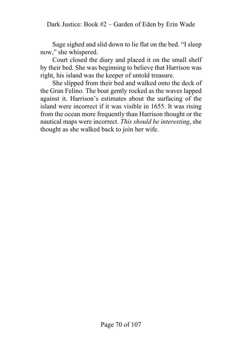Sage sighed and slid down to lie flat on the bed. "I sleep now," she whispered.

Court closed the diary and placed it on the small shelf by their bed. She was beginning to believe that Harrison was right, his island was the keeper of untold treasure.

She slipped from their bed and walked onto the deck of the Gran Felino. The boat gently rocked as the waves lapped against it. Harrison's estimates about the surfacing of the island were incorrect if it was visible in 1655. It was rising from the ocean more frequently than Harrison thought or the nautical maps were incorrect. *This should be interesting*, she thought as she walked back to join her wife.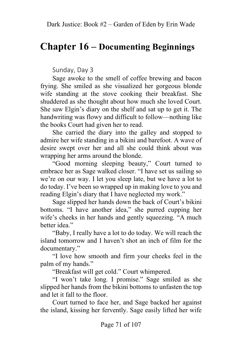### **Chapter 16 – Documenting Beginnings**

Sunday, Day 3

Sage awoke to the smell of coffee brewing and bacon frying. She smiled as she visualized her gorgeous blonde wife standing at the stove cooking their breakfast. She shuddered as she thought about how much she loved Court. She saw Elgin's diary on the shelf and sat up to get it. The handwriting was flowy and difficult to follow—nothing like the books Court had given her to read.

She carried the diary into the galley and stopped to admire her wife standing in a bikini and barefoot. A wave of desire swept over her and all she could think about was wrapping her arms around the blonde.

"Good morning sleeping beauty," Court turned to embrace her as Sage walked closer. "I have set us sailing so we're on our way. I let you sleep late, but we have a lot to do today. I've been so wrapped up in making love to you and reading Elgin's diary that I have neglected my work."

Sage slipped her hands down the back of Court's bikini bottoms. "I have another idea," she purred cupping her wife's cheeks in her hands and gently squeezing. "A much better idea."

"Baby, I really have a lot to do today. We will reach the island tomorrow and I haven't shot an inch of film for the documentary."

"I love how smooth and firm your cheeks feel in the palm of my hands."

"Breakfast will get cold." Court whimpered.

"I won't take long. I promise." Sage smiled as she slipped her hands from the bikini bottoms to unfasten the top and let it fall to the floor.

Court turned to face her, and Sage backed her against the island, kissing her fervently. Sage easily lifted her wife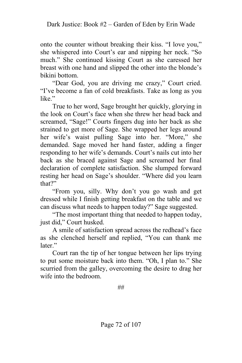onto the counter without breaking their kiss. "I love you," she whispered into Court's ear and nipping her neck. "So much." She continued kissing Court as she caressed her breast with one hand and slipped the other into the blonde's bikini bottom.

"Dear God, you are driving me crazy," Court cried. "I've become a fan of cold breakfasts. Take as long as you like."

True to her word, Sage brought her quickly, glorying in the look on Court's face when she threw her head back and screamed, "Sage!" Courts fingers dug into her back as she strained to get more of Sage. She wrapped her legs around her wife's waist pulling Sage into her. "More," she demanded. Sage moved her hand faster, adding a finger responding to her wife's demands. Court's nails cut into her back as she braced against Sage and screamed her final declaration of complete satisfaction. She slumped forward resting her head on Sage's shoulder. "Where did you learn that?"

"From you, silly. Why don't you go wash and get dressed while I finish getting breakfast on the table and we can discuss what needs to happen today?" Sage suggested.

"The most important thing that needed to happen today, just did," Court husked.

A smile of satisfaction spread across the redhead's face as she clenched herself and replied, "You can thank me later."

Court ran the tip of her tongue between her lips trying to put some moisture back into them. "Oh, I plan to." She scurried from the galley, overcoming the desire to drag her wife into the bedroom.

##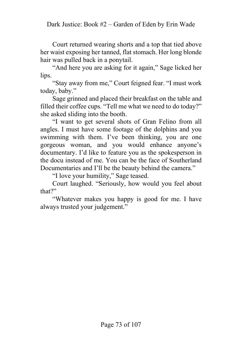Court returned wearing shorts and a top that tied above her waist exposing her tanned, flat stomach. Her long blonde hair was pulled back in a ponytail.

"And here you are asking for it again," Sage licked her lips.

"Stay away from me," Court feigned fear. "I must work today, baby."

Sage grinned and placed their breakfast on the table and filled their coffee cups. "Tell me what we need to do today?" she asked sliding into the booth.

"I want to get several shots of Gran Felino from all angles. I must have some footage of the dolphins and you swimming with them. I've been thinking, you are one gorgeous woman, and you would enhance anyone's documentary. I'd like to feature you as the spokesperson in the docu instead of me. You can be the face of Southerland Documentaries and I'll be the beauty behind the camera."

"I love your humility," Sage teased.

Court laughed. "Seriously, how would you feel about that?"

"Whatever makes you happy is good for me. I have always trusted your judgement."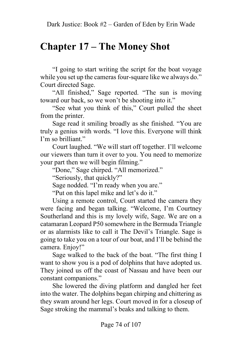# **Chapter 17 – The Money Shot**

"I going to start writing the script for the boat voyage while you set up the cameras four-square like we always do." Court directed Sage.

"All finished," Sage reported. "The sun is moving toward our back, so we won't be shooting into it."

"See what you think of this," Court pulled the sheet from the printer.

Sage read it smiling broadly as she finished. "You are truly a genius with words. "I love this. Everyone will think I'm so brilliant."

Court laughed. "We will start off together. I'll welcome our viewers than turn it over to you. You need to memorize your part then we will begin filming."

"Done," Sage chirped. "All memorized."

"Seriously, that quickly?"

Sage nodded. "I'm ready when you are."

"Put on this lapel mike and let's do it."

Using a remote control, Court started the camera they were facing and began talking. "Welcome, I'm Courtney Southerland and this is my lovely wife, Sage. We are on a catamaran Leopard P50 somewhere in the Bermuda Triangle or as alarmists like to call it The Devil's Triangle. Sage is going to take you on a tour of our boat, and I'll be behind the camera. Enjoy!"

Sage walked to the back of the boat. "The first thing I want to show you is a pod of dolphins that have adopted us. They joined us off the coast of Nassau and have been our constant companions."

She lowered the diving platform and dangled her feet into the water. The dolphins began chirping and chittering as they swam around her legs. Court moved in for a closeup of Sage stroking the mammal's beaks and talking to them.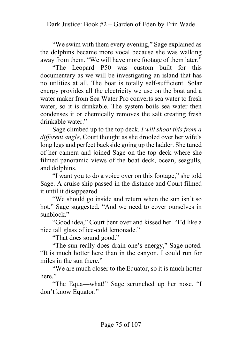"We swim with them every evening," Sage explained as the dolphins became more vocal because she was walking away from them. "We will have more footage of them later."

"The Leopard P50 was custom built for this documentary as we will be investigating an island that has no utilities at all. The boat is totally self-sufficient. Solar energy provides all the electricity we use on the boat and a water maker from Sea Water Pro converts sea water to fresh water, so it is drinkable. The system boils sea water then condenses it or chemically removes the salt creating fresh drinkable water."

Sage climbed up to the top deck. *I will shoot this from a different angle*, Court thought as she drooled over her wife's long legs and perfect backside going up the ladder. She tuned of her camera and joined Sage on the top deck where she filmed panoramic views of the boat deck, ocean, seagulls, and dolphins.

"I want you to do a voice over on this footage," she told Sage. A cruise ship passed in the distance and Court filmed it until it disappeared.

"We should go inside and return when the sun isn't so hot." Sage suggested. "And we need to cover ourselves in sunblock."

"Good idea," Court bent over and kissed her. "I'd like a nice tall glass of ice-cold lemonade."

"That does sound good."

"The sun really does drain one's energy," Sage noted. "It is much hotter here than in the canyon. I could run for miles in the sun there."

"We are much closer to the Equator, so it is much hotter here."

"The Equa—what!" Sage scrunched up her nose. "I don't know Equator."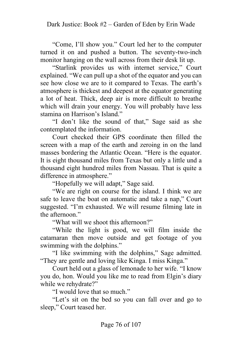"Come, I'll show you." Court led her to the computer turned it on and pushed a button. The seventy-two-inch monitor hanging on the wall across from their desk lit up.

"Starlink provides us with internet service," Court explained. "We can pull up a shot of the equator and you can see how close we are to it compared to Texas. The earth's atmosphere is thickest and deepest at the equator generating a lot of heat. Thick, deep air is more difficult to breathe which will drain your energy. You will probably have less stamina on Harrison's Island."

"I don't like the sound of that," Sage said as she contemplated the information.

Court checked their GPS coordinate then filled the screen with a map of the earth and zeroing in on the land masses bordering the Atlantic Ocean. "Here is the equator. It is eight thousand miles from Texas but only a little und a thousand eight hundred miles from Nassau. That is quite a difference in atmosphere."

"Hopefully we will adapt," Sage said.

"We are right on course for the island. I think we are safe to leave the boat on automatic and take a nap," Court suggested. "I'm exhausted. We will resume filming late in the afternoon."

"What will we shoot this afternoon?"

"While the light is good, we will film inside the catamaran then move outside and get footage of you swimming with the dolphins."

"I like swimming with the dolphins," Sage admitted. "They are gentle and loving like Kinga. I miss Kinga."

Court held out a glass of lemonade to her wife. "I know you do, hon. Would you like me to read from Elgin's diary while we rehydrate?"

"I would love that so much."

"Let's sit on the bed so you can fall over and go to sleep," Court teased her.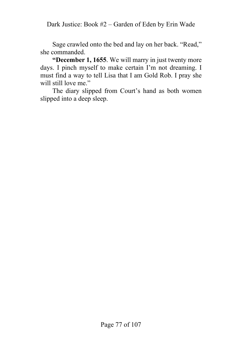Dark Justice: Book #2 – Garden of Eden by Erin Wade

Sage crawled onto the bed and lay on her back. "Read," she commanded.

**"December 1, 1655**. We will marry in just twenty more days. I pinch myself to make certain I'm not dreaming. I must find a way to tell Lisa that I am Gold Rob. I pray she will still love me."

The diary slipped from Court's hand as both women slipped into a deep sleep.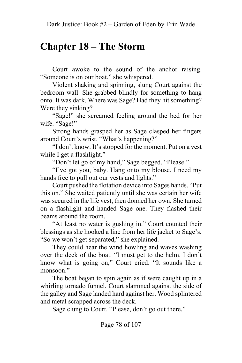## **Chapter 18 – The Storm**

Court awoke to the sound of the anchor raising. "Someone is on our boat," she whispered.

Violent shaking and spinning, slung Court against the bedroom wall. She grabbed blindly for something to hang onto. It was dark. Where was Sage? Had they hit something? Were they sinking?

"Sage!" she screamed feeling around the bed for her wife. "Sage!"

Strong hands grasped her as Sage clasped her fingers around Court's wrist. "What's happening?"

"I don't know. It's stopped for the moment. Put on a vest while I get a flashlight."

"Don't let go of my hand," Sage begged. "Please."

"I've got you, baby. Hang onto my blouse. I need my hands free to pull out our vests and lights."

Court pushed the flotation device into Sages hands. "Put this on." She waited patiently until she was certain her wife was secured in the life vest, then donned her own. She turned on a flashlight and handed Sage one. They flashed their beams around the room.

"At least no water is gushing in." Court counted their blessings as she hooked a line from her life jacket to Sage's. "So we won't get separated," she explained.

They could hear the wind howling and waves washing over the deck of the boat. "I must get to the helm. I don't know what is going on," Court cried. "It sounds like a monsoon."

The boat began to spin again as if were caught up in a whirling tornado funnel. Court slammed against the side of the galley and Sage landed hard against her. Wood splintered and metal scrapped across the deck.

Sage clung to Court. "Please, don't go out there."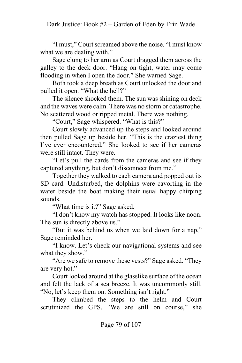"I must," Court screamed above the noise. "I must know what we are dealing with."

Sage clung to her arm as Court dragged them across the galley to the deck door. "Hang on tight, water may come flooding in when I open the door." She warned Sage.

Both took a deep breath as Court unlocked the door and pulled it open. "What the hell?"

The silence shocked them. The sun was shining on deck and the waves were calm. There was no storm or catastrophe. No scattered wood or ripped metal. There was nothing.

"Court," Sage whispered. "What is this?"

Court slowly advanced up the steps and looked around then pulled Sage up beside her. "This is the craziest thing I've ever encountered." She looked to see if her cameras were still intact. They were.

"Let's pull the cards from the cameras and see if they captured anything, but don't disconnect from me."

Together they walked to each camera and popped out its SD card. Undisturbed, the dolphins were cavorting in the water beside the boat making their usual happy chirping sounds.

"What time is it?" Sage asked.

"I don't know my watch has stopped. It looks like noon. The sun is directly above us."

"But it was behind us when we laid down for a nap," Sage reminded her.

"I know. Let's check our navigational systems and see what they show."

"Are we safe to remove these vests?" Sage asked. "They are very hot."

Court looked around at the glasslike surface of the ocean and felt the lack of a sea breeze. It was uncommonly still. "No, let's keep them on. Something isn't right."

They climbed the steps to the helm and Court scrutinized the GPS. "We are still on course," she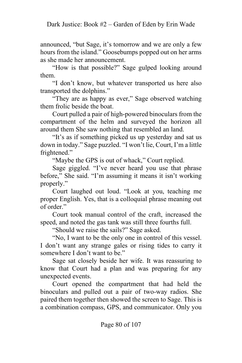announced, "but Sage, it's tomorrow and we are only a few hours from the island." Goosebumps popped out on her arms as she made her announcement.

"How is that possible?" Sage gulped looking around them.

"I don't know, but whatever transported us here also transported the dolphins."

"They are as happy as ever," Sage observed watching them frolic beside the boat.

Court pulled a pair of high-powered binoculars from the compartment of the helm and surveyed the horizon all around them She saw nothing that resembled an land.

"It's as if something picked us up yesterday and sat us down in today." Sage puzzled. "I won't lie, Court, I'm a little frightened."

"Maybe the GPS is out of whack," Court replied.

Sage giggled. "I've never heard you use that phrase before," She said. "I'm assuming it means it isn't working properly."

Court laughed out loud. "Look at you, teaching me proper English. Yes, that is a colloquial phrase meaning out of order."

Court took manual control of the craft, increased the speed, and noted the gas tank was still three fourths full.

"Should we raise the sails?" Sage asked.

"No, I want to be the only one in control of this vessel. I don't want any strange gales or rising tides to carry it somewhere I don't want to be."

Sage sat closely beside her wife. It was reassuring to know that Court had a plan and was preparing for any unexpected events.

Court opened the compartment that had held the binoculars and pulled out a pair of two-way radios. She paired them together then showed the screen to Sage. This is a combination compass, GPS, and communicator. Only you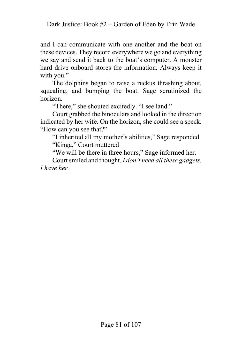and I can communicate with one another and the boat on these devices. They record everywhere we go and everything we say and send it back to the boat's computer. A monster hard drive onboard stores the information. Always keep it with you."

The dolphins began to raise a ruckus thrashing about, squealing, and bumping the boat. Sage scrutinized the horizon.

"There," she shouted excitedly. "I see land."

Court grabbed the binoculars and looked in the direction indicated by her wife. On the horizon, she could see a speck. "How can you see that?"

"I inherited all my mother's abilities," Sage responded. "Kinga," Court muttered

"We will be there in three hours," Sage informed her.

Court smiled and thought, *I don't need all these gadgets. I have her.*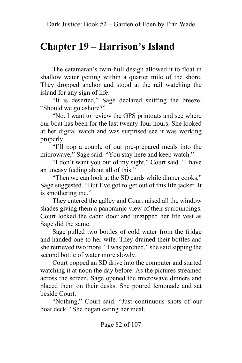## **Chapter 19 – Harrison's Island**

The catamaran's twin-hull design allowed it to float in shallow water getting within a quarter mile of the shore. They dropped anchor and stood at the rail watching the island for any sign of life.

"It is deserted," Sage declared sniffing the breeze. "Should we go ashore?"

"No. I want to review the GPS printouts and see where our boat has been for the last twenty-four hours. She looked at her digital watch and was surprised see it was working properly.

"I'll pop a couple of our pre-prepared meals into the microwave," Sage said. "You stay here and keep watch."

"I don't want you out of my sight," Court said. "I have an uneasy feeling about all of this."

"Then we can look at the SD cards while dinner cooks," Sage suggested. "But I've got to get out of this life jacket. It is smothering me."

They entered the galley and Court raised all the window shades giving them a panoramic view of their surroundings. Court locked the cabin door and unzipped her life vest as Sage did the same.

Sage pulled two bottles of cold water from the fridge and handed one to her wife. They drained their bottles and she retrieved two more. "I was parched," she said sipping the second bottle of water more slowly.

Court popped an SD drive into the computer and started watching it at noon the day before. As the pictures streamed across the screen, Sage opened the microwave dinners and placed them on their desks. She poured lemonade and sat beside Court.

"Nothing," Court said. "Just continuous shots of our boat deck." She began eating her meal.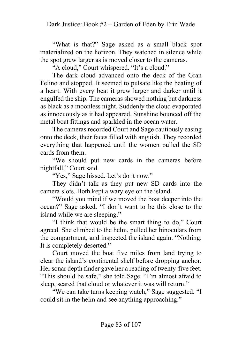"What is that?" Sage asked as a small black spot materialized on the horizon. They watched in silence while the spot grew larger as is moved closer to the cameras.

"A cloud," Court whispered. "It's a cloud."

The dark cloud advanced onto the deck of the Gran Felino and stopped. It seemed to pulsate like the beating of a heart. With every beat it grew larger and darker until it engulfed the ship. The cameras showed nothing but darkness as black as a moonless night. Suddenly the cloud evaporated as innocuously as it had appeared. Sunshine bounced off the metal boat fittings and sparkled in the ocean water.

The cameras recorded Court and Sage cautiously easing onto the deck, their faces filled with anguish. They recorded everything that happened until the women pulled the SD cards from them.

"We should put new cards in the cameras before nightfall," Court said.

"Yes," Sage hissed. Let's do it now."

They didn't talk as they put new SD cards into the camera slots. Both kept a wary eye on the island.

"Would you mind if we moved the boat deeper into the ocean?" Sage asked. "I don't want to be this close to the island while we are sleeping."

"I think that would be the smart thing to do," Court agreed. She climbed to the helm, pulled her binoculars from the compartment, and inspected the island again. "Nothing. It is completely deserted."

Court moved the boat five miles from land trying to clear the island's continental shelf before dropping anchor. Her sonar depth finder gave her a reading of twenty-five feet. "This should be safe," she told Sage. "I'm almost afraid to sleep, scared that cloud or whatever it was will return."

"We can take turns keeping watch," Sage suggested. "I could sit in the helm and see anything approaching."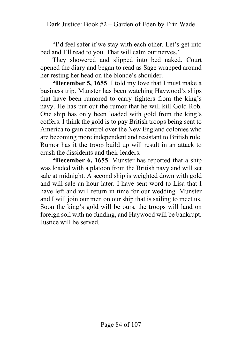"I'd feel safer if we stay with each other. Let's get into bed and I'll read to you. That will calm our nerves."

They showered and slipped into bed naked. Court opened the diary and began to read as Sage wrapped around her resting her head on the blonde's shoulder.

**"December 5, 1655**. I told my love that I must make a business trip. Munster has been watching Haywood's ships that have been rumored to carry fighters from the king's navy. He has put out the rumor that he will kill Gold Rob. One ship has only been loaded with gold from the king's coffers. I think the gold is to pay British troops being sent to America to gain control over the New England colonies who are becoming more independent and resistant to British rule. Rumor has it the troop build up will result in an attack to crush the dissidents and their leaders.

**"December 6, 1655**. Munster has reported that a ship was loaded with a platoon from the British navy and will set sale at midnight. A second ship is weighted down with gold and will sale an hour later. I have sent word to Lisa that I have left and will return in time for our wedding. Munster and I will join our men on our ship that is sailing to meet us. Soon the king's gold will be ours, the troops will land on foreign soil with no funding, and Haywood will be bankrupt. Justice will be served.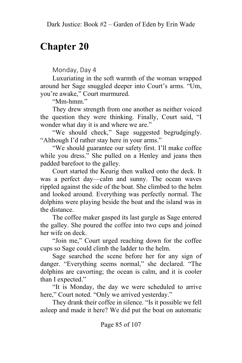## **Chapter 20**

Monday, Day 4

Luxuriating in the soft warmth of the woman wrapped around her Sage snuggled deeper into Court's arms. "Um, you're awake," Court murmured.

"Mm-hmm."

They drew strength from one another as neither voiced the question they were thinking. Finally, Court said, "I wonder what day it is and where we are."

"We should check," Sage suggested begrudgingly. "Although I'd rather stay here in your arms."

"We should guarantee our safety first. I'll make coffee while you dress." She pulled on a Henley and jeans then padded barefoot to the galley.

Court started the Keurig then walked onto the deck. It was a perfect day—calm and sunny. The ocean waves rippled against the side of the boat. She climbed to the helm and looked around. Everything was perfectly normal. The dolphins were playing beside the boat and the island was in the distance.

The coffee maker gasped its last gurgle as Sage entered the galley. She poured the coffee into two cups and joined her wife on deck.

"Join me," Court urged reaching down for the coffee cups so Sage could climb the ladder to the helm.

Sage searched the scene before her for any sign of danger. "Everything seems normal," she declared. "The dolphins are cavorting; the ocean is calm, and it is cooler than I expected."

"It is Monday, the day we were scheduled to arrive here," Court noted. "Only we arrived yesterday."

They drank their coffee in silence. "Is it possible we fell asleep and made it here? We did put the boat on automatic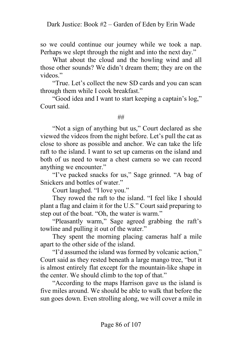so we could continue our journey while we took a nap. Perhaps we slept through the night and into the next day."

What about the cloud and the howling wind and all those other sounds? We didn't dream them; they are on the videos."

"True. Let's collect the new SD cards and you can scan through them while I cook breakfast."

"Good idea and I want to start keeping a captain's log," Court said.

##

"Not a sign of anything but us," Court declared as she viewed the videos from the night before. Let's pull the cat as close to shore as possible and anchor. We can take the life raft to the island. I want to set up cameras on the island and both of us need to wear a chest camera so we can record anything we encounter."

"I've packed snacks for us," Sage grinned. "A bag of Snickers and bottles of water."

Court laughed. "I love you."

They rowed the raft to the island. "I feel like I should plant a flag and claim it for the U.S." Court said preparing to step out of the boat. "Oh, the water is warm."

"Pleasantly warm," Sage agreed grabbing the raft's towline and pulling it out of the water."

They spent the morning placing cameras half a mile apart to the other side of the island.

"I'd assumed the island was formed by volcanic action," Court said as they rested beneath a large mango tree, "but it is almost entirely flat except for the mountain-like shape in the center. We should climb to the top of that."

"According to the maps Harrison gave us the island is five miles around. We should be able to walk that before the sun goes down. Even strolling along, we will cover a mile in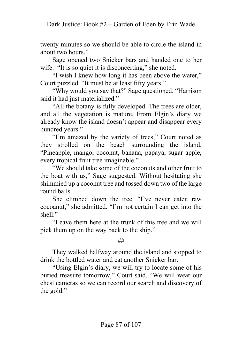twenty minutes so we should be able to circle the island in about two hours."

Sage opened two Snicker bars and handed one to her wife. "It is so quiet it is disconcerting," she noted.

"I wish I knew how long it has been above the water," Court puzzled. "It must be at least fifty years."

"Why would you say that?" Sage questioned. "Harrison said it had just materialized."

"All the botany is fully developed. The trees are older, and all the vegetation is mature. From Elgin's diary we already know the island doesn't appear and disappear every hundred years."

"I'm amazed by the variety of trees," Court noted as they strolled on the beach surrounding the island. "Pineapple, mango, coconut, banana, papaya, sugar apple, every tropical fruit tree imaginable."

"We should take some of the coconuts and other fruit to the boat with us," Sage suggested. Without hesitating she shimmied up a coconut tree and tossed down two of the large round balls.

She climbed down the tree. "I've never eaten raw cocoanut," she admitted. "I'm not certain I can get into the shell."

"Leave them here at the trunk of this tree and we will pick them up on the way back to the ship."

#### ##

They walked halfway around the island and stopped to drink the bottled water and eat another Snicker bar.

"Using Elgin's diary, we will try to locate some of his buried treasure tomorrow," Court said. "We will wear our chest cameras so we can record our search and discovery of the gold."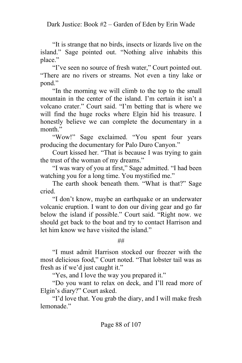"It is strange that no birds, insects or lizards live on the island." Sage pointed out. "Nothing alive inhabits this place."

"I've seen no source of fresh water," Court pointed out. "There are no rivers or streams. Not even a tiny lake or pond."

"In the morning we will climb to the top to the small mountain in the center of the island. I'm certain it isn't a volcano crater." Court said. "I'm betting that is where we will find the huge rocks where Elgin hid his treasure. I honestly believe we can complete the documentary in a month."

"Wow!" Sage exclaimed. "You spent four years producing the documentary for Palo Duro Canyon."

Court kissed her. "That is because I was trying to gain the trust of the woman of my dreams."

"I was wary of you at first," Sage admitted. "I had been watching you for a long time. You mystified me."

The earth shook beneath them. "What is that?" Sage cried.

"I don't know, maybe an earthquake or an underwater volcanic eruption. I want to don our diving gear and go far below the island if possible." Court said. "Right now. we should get back to the boat and try to contact Harrison and let him know we have visited the island."

##

"I must admit Harrison stocked our freezer with the most delicious food," Court noted. "That lobster tail was as fresh as if we'd just caught it."

"Yes, and I love the way you prepared it."

"Do you want to relax on deck, and I'll read more of Elgin's diary?" Court asked.

"I'd love that. You grab the diary, and I will make fresh lemonade<sup>"</sup>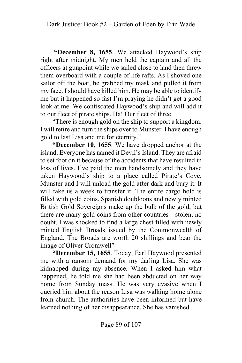**"December 8, 1655**. We attacked Haywood's ship right after midnight. My men held the captain and all the officers at gunpoint while we sailed close to land then threw them overboard with a couple of life rafts. As I shoved one sailor off the boat, he grabbed my mask and pulled it from my face. I should have killed him. He may be able to identify me but it happened so fast I'm praying he didn't get a good look at me. We confiscated Haywood's ship and will add it to our fleet of pirate ships. Ha! Our fleet of three.

"There is enough gold on the ship to support a kingdom. I will retire and turn the ships over to Munster. I have enough gold to last Lisa and me for eternity."

**"December 10, 1655**. We have dropped anchor at the island. Everyone has named it Devil's Island. They are afraid to set foot on it because of the accidents that have resulted in loss of lives. I've paid the men handsomely and they have taken Haywood's ship to a place called Pirate's Cove. Munster and I will unload the gold after dark and bury it. It will take us a week to transfer it. The entire cargo hold is filled with gold coins. Spanish doubloons and newly minted British Gold Sovereigns make up the bulk of the gold, but there are many gold coins from other countries—stolen, no doubt. I was shocked to find a large chest filled with newly minted English Broads issued by the Commonwealth of England. The Broads are worth 20 shillings and bear the image of Oliver Cromwell"

**"December 15, 1655**. Today, Earl Haywood presented me with a ransom demand for my darling Lisa. She was kidnapped during my absence. When I asked him what happened, he told me she had been abducted on her way home from Sunday mass. He was very evasive when I queried him about the reason Lisa was walking home alone from church. The authorities have been informed but have learned nothing of her disappearance. She has vanished.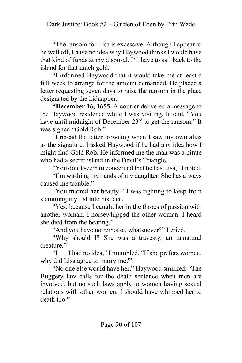"The ransom for Lisa is excessive. Although I appear to be well off, I have no idea why Haywood thinks I would have that kind of funds at my disposal. I'll have to sail back to the island for that much gold.

"I informed Haywood that it would take me at least a full week to arrange for the amount demanded. He placed a letter requesting seven days to raise the ransom in the place designated by the kidnapper.

**"December 16, 1655**. A courier delivered a message to the Haywood residence while I was visiting. It said, "You have until midnight of December 23<sup>rd</sup> to get the ransom." It was signed "Gold Rob."

"I reread the letter frowning when I saw my own alias as the signature. I asked Haywood if he had any idea how I might find Gold Rob. He informed me the man was a pirate who had a secret island in the Devil's Triangle.

"You don't seem to concerned that he has Lisa," I noted.

"I'm washing my hands of my daughter. She has always caused me trouble."

"You marred her beauty!" I was fighting to keep from slamming my fist into his face.

"Yes, because I caught her in the throes of passion with another woman. I horsewhipped the other woman. I heard she died from the beating."

"And you have no remorse, whatsoever?" I cried.

"Why should I? She was a travesty, an unnatural creature."

"I . . . I had no idea," I mumbled. "If she prefers women, why did Lisa agree to marry me?"

"No one else would have her," Haywood smirked. "The Buggery law calls for the death sentence when men are involved, but no such laws apply to women having sexual relations with other women. I should have whipped her to death too."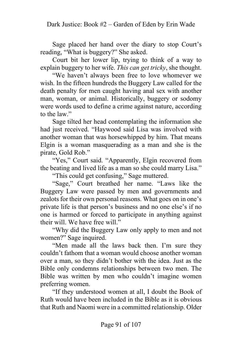Sage placed her hand over the diary to stop Court's reading, "What is buggery?" She asked.

Court bit her lower lip, trying to think of a way to explain buggery to her wife. *This can get tricky*, she thought.

"We haven't always been free to love whomever we wish. In the fifteen hundreds the Buggery Law called for the death penalty for men caught having anal sex with another man, woman, or animal. Historically, buggery or sodomy were words used to define a crime against nature, according to the law."

Sage tilted her head contemplating the information she had just received. "Haywood said Lisa was involved with another woman that was horsewhipped by him. That means Elgin is a woman masquerading as a man and she is the pirate, Gold Rob."

"Yes," Court said. "Apparently, Elgin recovered from the beating and lived life as a man so she could marry Lisa."

"This could get confusing," Sage muttered.

"Sage," Court breathed her name. "Laws like the Buggery Law were passed by men and governments and zealots for their own personal reasons. What goes on in one's private life is that person's business and no one else's if no one is harmed or forced to participate in anything against their will. We have free will."

"Why did the Buggery Law only apply to men and not women?" Sage inquired.

"Men made all the laws back then. I'm sure they couldn't fathom that a woman would choose another woman over a man, so they didn't bother with the idea. Just as the Bible only condemns relationships between two men. The Bible was written by men who couldn't imagine women preferring women.

"If they understood women at all, I doubt the Book of Ruth would have been included in the Bible as it is obvious that Ruth and Naomi were in a committed relationship. Older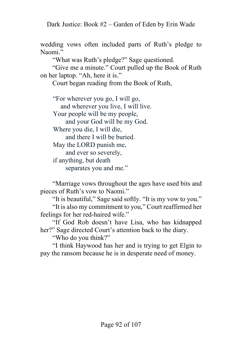Dark Justice: Book #2 – Garden of Eden by Erin Wade

wedding vows often included parts of Ruth's pledge to Naomi."

"What was Ruth's pledge?" Sage questioned.

"Give me a minute." Court pulled up the Book of Ruth on her laptop. "Ah, here it is."

Court began reading from the Book of Ruth,

"For wherever you go, I will go, and wherever you live, I will live. Your people will be my people, and your God will be my God. Where you die, I will die, and there I will be buried. May the LORD punish me, and ever so severely, if anything, but death separates you and me."

"Marriage vows throughout the ages have used bits and pieces of Ruth's vow to Naomi."

"It is beautiful," Sage said softly. "It is my vow to you." "It is also my commitment to you," Court reaffirmed her feelings for her red-haired wife."

"If God Rob doesn't have Lisa, who has kidnapped her?" Sage directed Court's attention back to the diary.

"Who do you think?"

"I think Haywood has her and is trying to get Elgin to pay the ransom because he is in desperate need of money.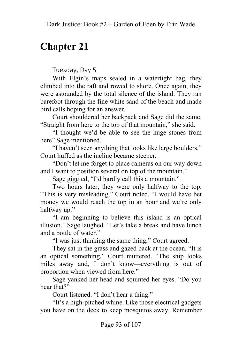# **Chapter 21**

Tuesday, Day 5

With Elgin's maps sealed in a watertight bag, they climbed into the raft and rowed to shore. Once again, they were astounded by the total silence of the island. They ran barefoot through the fine white sand of the beach and made bird calls hoping for an answer.

Court shouldered her backpack and Sage did the same. "Straight from here to the top of that mountain," she said.

"I thought we'd be able to see the huge stones from here" Sage mentioned.

"I haven't seen anything that looks like large boulders." Court huffed as the incline became steeper.

"Don't let me forget to place cameras on our way down and I want to position several on top of the mountain."

Sage giggled, "I'd hardly call this a mountain."

Two hours later, they were only halfway to the top. "This is very misleading," Court noted. "I would have bet money we would reach the top in an hour and we're only halfway up."

"I am beginning to believe this island is an optical illusion." Sage laughed. "Let's take a break and have lunch and a bottle of water."

"I was just thinking the same thing," Court agreed.

They sat in the grass and gazed back at the ocean. "It is an optical something," Court muttered. "The ship looks miles away and, I don't know—everything is out of proportion when viewed from here."

Sage yanked her head and squinted her eyes. "Do you hear that?"

Court listened. "I don't hear a thing."

"It's a high-pitched whine. Like those electrical gadgets you have on the deck to keep mosquitos away. Remember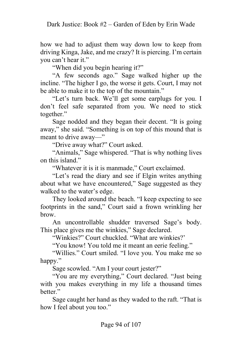how we had to adjust them way down low to keep from driving Kinga, Jake, and me crazy? It is piercing. I'm certain you can't hear it."

"When did you begin hearing it?"

"A few seconds ago." Sage walked higher up the incline. "The higher I go, the worse it gets. Court, I may not be able to make it to the top of the mountain."

"Let's turn back. We'll get some earplugs for you. I don't feel safe separated from you. We need to stick together."

Sage nodded and they began their decent. "It is going away," she said. "Something is on top of this mound that is meant to drive away—"

"Drive away what?" Court asked.

"Animals," Sage whispered. "That is why nothing lives on this island."

"Whatever it is it is manmade," Court exclaimed.

"Let's read the diary and see if Elgin writes anything about what we have encountered," Sage suggested as they walked to the water's edge.

They looked around the beach. "I keep expecting to see footprints in the sand," Court said a frown wrinkling her brow.

An uncontrollable shudder traversed Sage's body. This place gives me the winkies," Sage declared.

"Winkies?" Court chuckled. "What are winkies?'

"You know! You told me it meant an eerie feeling."

"Willies." Court smiled. "I love you. You make me so happy."

Sage scowled. "Am I your court jester?"

"You are my everything," Court declared. "Just being with you makes everything in my life a thousand times better."

Sage caught her hand as they waded to the raft. "That is how I feel about you too."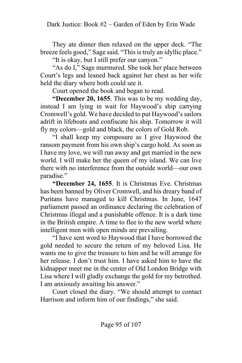They ate dinner then relaxed on the upper deck. "The breeze feels good," Sage said. "This is truly an idyllic place."

"It is okay, but I still prefer our canyon."

"As do I," Sage murmured. She took her place between Court's legs and leaned back against her chest as her wife held the diary where both could see it.

Court opened the book and began to read.

**"December 20, 1655**. This was to be my wedding day, instead I am lying in wait for Haywood's ship carrying Cromwell's gold. We have decided to put Haywood's sailors adrift in lifeboats and confiscate his ship. Tomorrow it will fly my colors—gold and black, the colors of Gold Rob.

"I shall keep my composure as I give Haywood the ransom payment from his own ship's cargo hold. As soon as I have my love, we will run away and get married in the new world. I will make her the queen of my island. We can live there with no interference from the outside world—our own paradise."

**"December 24, 1655**. It is Christmas Eve. Christmas has been banned by Oliver Cromwell, and his dreary band of Puritans have managed to kill Christmas. In June, 1647 parliament passed an ordinance declaring the celebration of Christmas illegal and a punishable offence. It is a dark time in the British empire. A time to flee to the new world where intelligent men with open minds are prevailing.

"I have sent word to Haywood that I have borrowed the gold needed to secure the return of my beloved Lisa. He wants me to give the treasure to him and he will arrange for her release. I don't trust him. I have asked him to have the kidnapper meet me in the center of Old London Bridge with Lisa where I will gladly exchange the gold for my betrothed. I am anxiously awaiting his answer."

Court closed the diary. "We should attempt to contact Harrison and inform him of our findings," she said.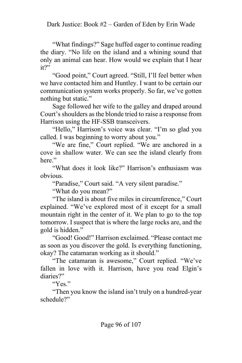"What findings?" Sage huffed eager to continue reading the diary. "No life on the island and a whining sound that only an animal can hear. How would we explain that I hear it?"

"Good point," Court agreed. "Still, I'll feel better when we have contacted him and Huntley. I want to be certain our communication system works properly. So far, we've gotten nothing but static."

Sage followed her wife to the galley and draped around Court's shoulders as the blonde tried to raise a response from Harrison using the HF-SSB transceivers.

"Hello," Harrison's voice was clear. "I'm so glad you called. I was beginning to worry about you."

"We are fine," Court replied. "We are anchored in a cove in shallow water. We can see the island clearly from here."

"What does it look like?" Harrison's enthusiasm was obvious.

"Paradise," Court said. "A very silent paradise."

"What do you mean?"

"The island is about five miles in circumference," Court explained. "We've explored most of it except for a small mountain right in the center of it. We plan to go to the top tomorrow. I suspect that is where the large rocks are, and the gold is hidden."

"Good! Good!" Harrison exclaimed. "Please contact me as soon as you discover the gold. Is everything functioning, okay? The catamaran working as it should."

"The catamaran is awesome," Court replied. "We've fallen in love with it. Harrison, have you read Elgin's diaries?"

"Yes."

"Then you know the island isn't truly on a hundred-year schedule?"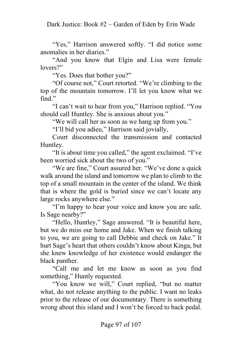"Yes," Harrison answered softly. "I did notice some anomalies in her diaries."

"And you know that Elgin and Lisa were female lovers?"

"Yes. Does that bother you?"

"Of course not," Court retorted. "We're climbing to the top of the mountain tomorrow. I'll let you know what we find."

"I can't wait to hear from you," Harrison replied. "You should call Huntley. She is anxious about you."

"We will call her as soon as we hang up from you."

"I'll bid you adieu," Harrison said jovially,

Court disconnected the transmission and contacted Huntley.

"It is about time you called," the agent exclaimed. "I've been worried sick about the two of you."

"We are fine," Court assured her. "We've done a quick walk around the island and tomorrow we plan to climb to the top of a small mountain in the center of the island. We think that is where the gold is buried since we can't locate any large rocks anywhere else."

"I'm happy to hear your voice and know you are safe. Is Sage nearby?"

"Hello, Huntley," Sage answered. "It is beautiful here, but we do miss our home and Jake. When we finish talking to you, we are going to call Debbie and check on Jake." It hurt Sage's heart that others couldn't know about Kinga, but she knew knowledge of her existence would endanger the black panther.

"Call me and let me know as soon as you find something," Huntly requested.

"You know we will," Court replied, "but no matter what, do not release anything to the public. I want no leaks prior to the release of our documentary. There is something wrong about this island and I won't be forced to back pedal.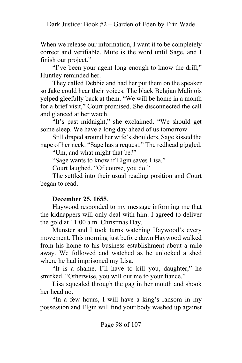When we release our information, I want it to be completely correct and verifiable. Mute is the word until Sage, and I finish our project."

"I've been your agent long enough to know the drill," Huntley reminded her.

They called Debbie and had her put them on the speaker so Jake could hear their voices. The black Belgian Malinois yelped gleefully back at them. "We will be home in a month for a brief visit," Court promised. She disconnected the call and glanced at her watch.

"It's past midnight," she exclaimed. "We should get some sleep. We have a long day ahead of us tomorrow.

Still draped around her wife's shoulders, Sage kissed the nape of her neck. "Sage has a request." The redhead giggled.

"Um, and what might that be?"

"Sage wants to know if Elgin saves Lisa."

Court laughed. "Of course, you do."

The settled into their usual reading position and Court began to read.

### **December 25, 1655**.

Haywood responded to my message informing me that the kidnappers will only deal with him. I agreed to deliver the gold at 11:00 a.m. Christmas Day.

Munster and I took turns watching Haywood's every movement. This morning just before dawn Haywood walked from his home to his business establishment about a mile away. We followed and watched as he unlocked a shed where he had imprisoned my Lisa.

"It is a shame, I'll have to kill you, daughter," he smirked. "Otherwise, you will out me to your fiancé."

Lisa squealed through the gag in her mouth and shook her head no.

"In a few hours, I will have a king's ransom in my possession and Elgin will find your body washed up against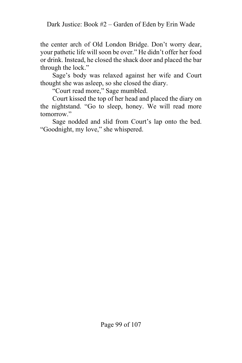the center arch of Old London Bridge. Don't worry dear, your pathetic life will soon be over." He didn't offer her food or drink. Instead, he closed the shack door and placed the bar through the lock."

Sage's body was relaxed against her wife and Court thought she was asleep, so she closed the diary.

"Court read more," Sage mumbled.

Court kissed the top of her head and placed the diary on the nightstand. "Go to sleep, honey. We will read more tomorrow."

Sage nodded and slid from Court's lap onto the bed. "Goodnight, my love," she whispered.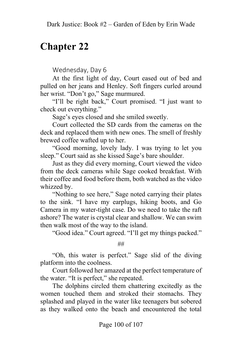# **Chapter 22**

Wednesday, Day 6

At the first light of day, Court eased out of bed and pulled on her jeans and Henley. Soft fingers curled around her wrist. "Don't go," Sage murmured.

"I'll be right back," Court promised. "I just want to check out everything."

Sage's eyes closed and she smiled sweetly.

Court collected the SD cards from the cameras on the deck and replaced them with new ones. The smell of freshly brewed coffee wafted up to her.

"Good morning, lovely lady. I was trying to let you sleep." Court said as she kissed Sage's bare shoulder.

Just as they did every morning, Court viewed the video from the deck cameras while Sage cooked breakfast. With their coffee and food before them, both watched as the video whizzed by.

"Nothing to see here," Sage noted carrying their plates to the sink. "I have my earplugs, hiking boots, and Go Camera in my water-tight case. Do we need to take the raft ashore? The water is crystal clear and shallow. We can swim then walk most of the way to the island.

"Good idea." Court agreed. "I'll get my things packed."

##

"Oh, this water is perfect." Sage slid of the diving platform into the coolness.

Court followed her amazed at the perfect temperature of the water. "It is perfect," she repeated.

The dolphins circled them chattering excitedly as the women touched them and stroked their stomachs. They splashed and played in the water like teenagers but sobered as they walked onto the beach and encountered the total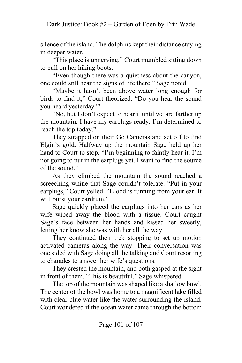silence of the island. The dolphins kept their distance staying in deeper water.

"This place is unnerving," Court mumbled sitting down to pull on her hiking boots.

"Even though there was a quietness about the canyon, one could still hear the signs of life there." Sage noted.

"Maybe it hasn't been above water long enough for birds to find it," Court theorized. "Do you hear the sound you heard yesterday?"

"No, but I don't expect to hear it until we are farther up the mountain. I have my earplugs ready. I'm determined to reach the top today."

They strapped on their Go Cameras and set off to find Elgin's gold. Halfway up the mountain Sage held up her hand to Court to stop. "I'm beginning to faintly hear it. I'm not going to put in the earplugs yet. I want to find the source of the sound."

As they climbed the mountain the sound reached a screeching whine that Sage couldn't tolerate. "Put in your earplugs," Court yelled. "Blood is running from your ear. It will burst your eardrum."

Sage quickly placed the earplugs into her ears as her wife wiped away the blood with a tissue. Court caught Sage's face between her hands and kissed her sweetly, letting her know she was with her all the way.

They continued their trek stopping to set up motion activated cameras along the way. Their conversation was one sided with Sage doing all the talking and Court resorting to charades to answer her wife's questions.

They crested the mountain, and both gasped at the sight in front of them. "This is beautiful," Sage whispered.

The top of the mountain was shaped like a shallow bowl. The center of the bowl was home to a magnificent lake filled with clear blue water like the water surrounding the island. Court wondered if the ocean water came through the bottom